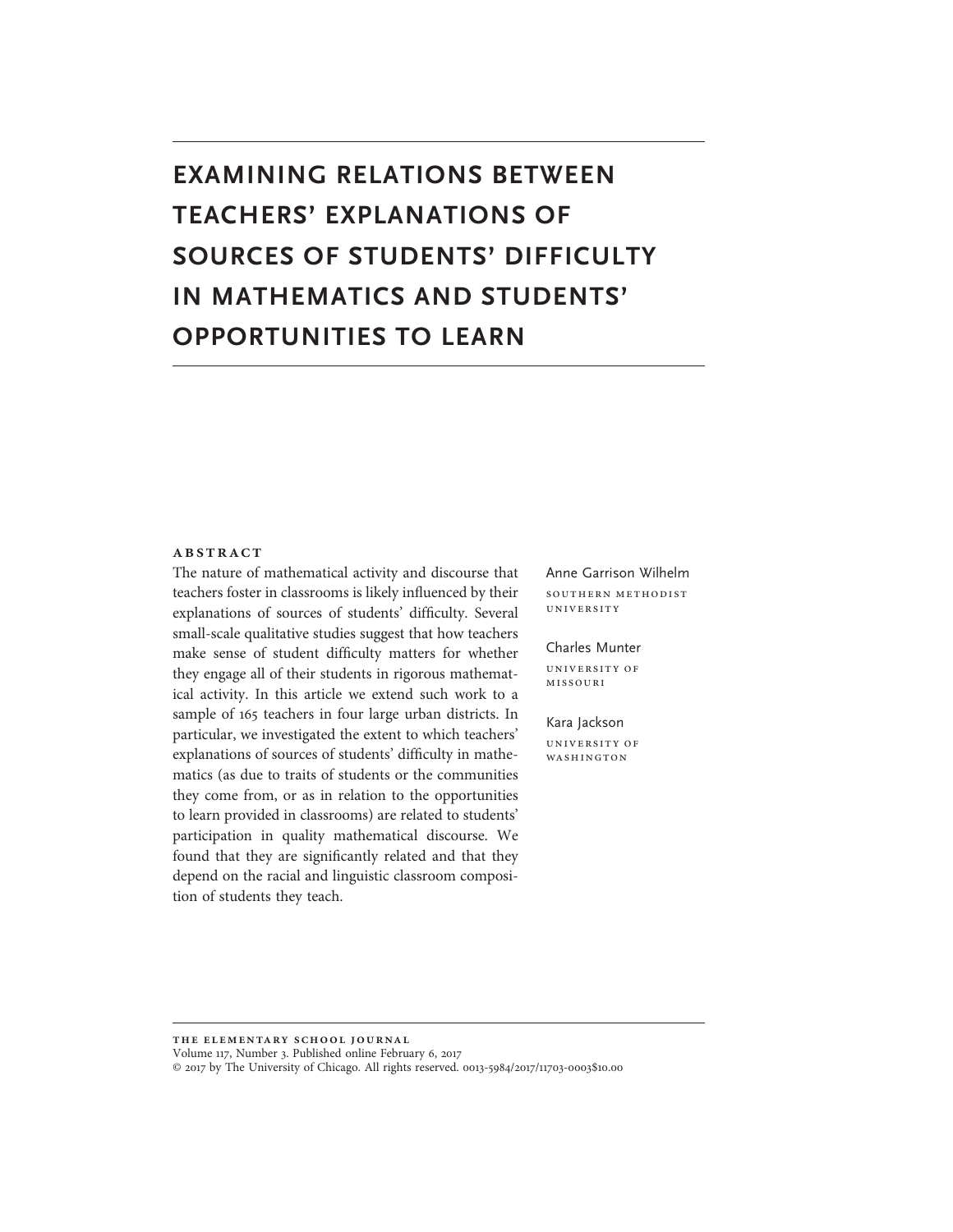# EXAMINING RELATIONS BETWEEN TEACHERS' EXPLANATIONS OF SOURCES OF STUDENTS' DIFFICULTY IN MATHEMATICS AND STUDENTS' OPPORTUNITIES TO LEARN

## **ABSTRACT**

The nature of mathematical activity and discourse that teachers foster in classrooms is likely influenced by their explanations of sources of students' difficulty. Several small-scale qualitative studies suggest that how teachers make sense of student difficulty matters for whether they engage all of their students in rigorous mathematical activity. In this article we extend such work to a sample of 165 teachers in four large urban districts. In particular, we investigated the extent to which teachers' explanations of sources of students' difficulty in mathematics (as due to traits of students or the communities they come from, or as in relation to the opportunities to learn provided in classrooms) are related to students' participation in quality mathematical discourse. We found that they are significantly related and that they depend on the racial and linguistic classroom composition of students they teach.

Anne Garrison Wilhelm southern methodist university

Charles Munter

university of missouri

Kara Jackson university of washington

the elementary school journal

Volume 117, Number 3. Published online February 6, 2017

© 2017 by The University of Chicago. All rights reserved. 0013-5984/2017/11703-0003\$10.00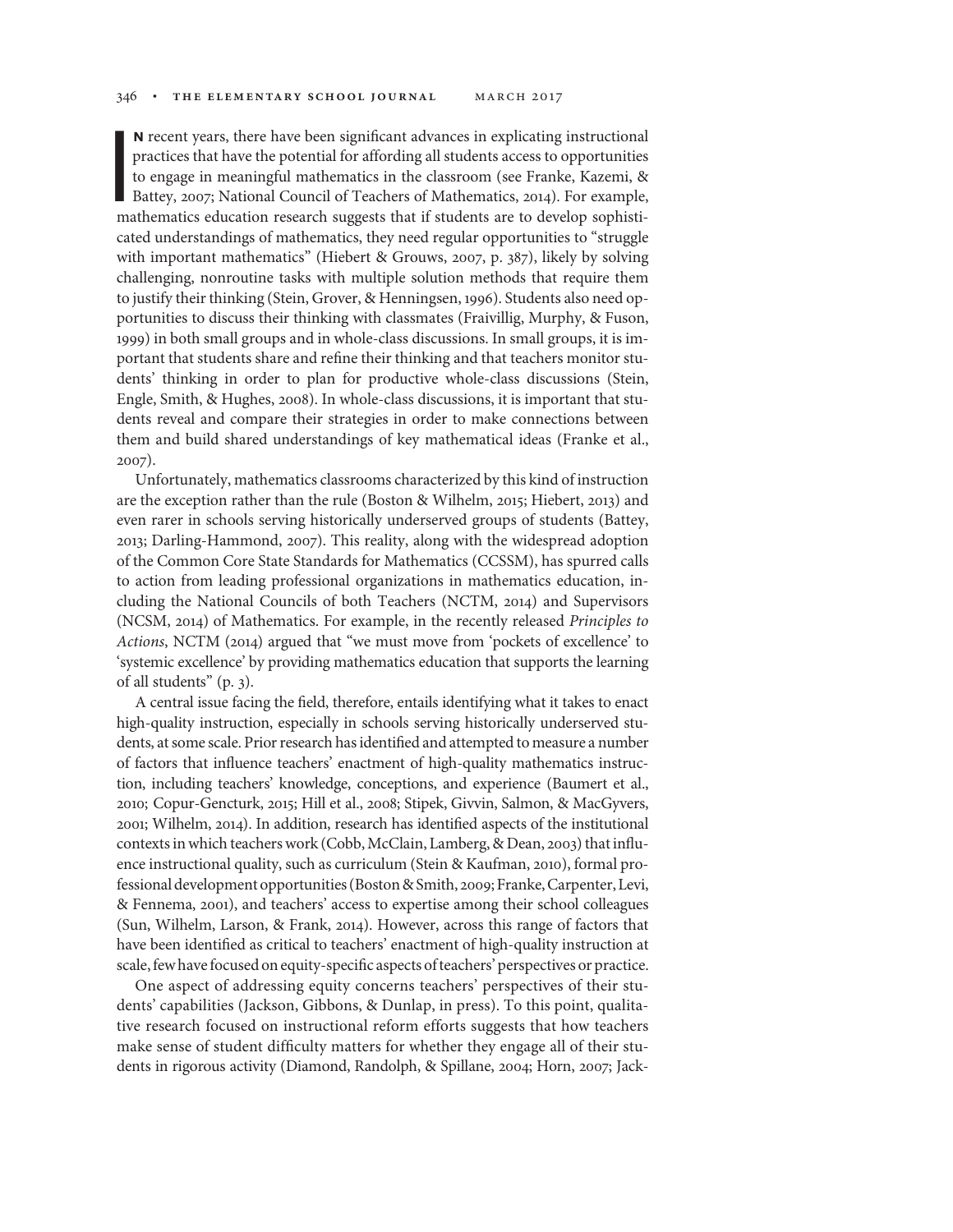$\begin{bmatrix} 1 \\ 1 \\ 1 \\ 1 \end{bmatrix}$ ma N recent years, there have been significant advances in explicating instructional practices that have the potential for affording all students access to opportunities to engage in meaningful mathematics in the classroom (see Franke, Kazemi, & Battey, 2007; National Council of Teachers of Mathematics, 2014). For example, mathematics education research suggests that if students are to develop sophisticated understandings of mathematics, they need regular opportunities to "struggle with important mathematics" (Hiebert & Grouws, 2007, p. 387), likely by solving challenging, nonroutine tasks with multiple solution methods that require them to justify their thinking (Stein, Grover, & Henningsen, 1996). Students also need opportunities to discuss their thinking with classmates (Fraivillig, Murphy, & Fuson, 1999) in both small groups and in whole-class discussions. In small groups, it is important that students share and refine their thinking and that teachers monitor students' thinking in order to plan for productive whole-class discussions (Stein, Engle, Smith, & Hughes, 2008). In whole-class discussions, it is important that students reveal and compare their strategies in order to make connections between them and build shared understandings of key mathematical ideas (Franke et al., 2007).

Unfortunately, mathematics classrooms characterized by this kind of instruction are the exception rather than the rule (Boston & Wilhelm, 2015; Hiebert, 2013) and even rarer in schools serving historically underserved groups of students (Battey, 2013; Darling-Hammond, 2007). This reality, along with the widespread adoption of the Common Core State Standards for Mathematics (CCSSM), has spurred calls to action from leading professional organizations in mathematics education, including the National Councils of both Teachers (NCTM, 2014) and Supervisors (NCSM, 2014) of Mathematics. For example, in the recently released Principles to Actions, NCTM (2014) argued that "we must move from 'pockets of excellence' to 'systemic excellence' by providing mathematics education that supports the learning of all students" (p. 3).

A central issue facing the field, therefore, entails identifying what it takes to enact high-quality instruction, especially in schools serving historically underserved students, at some scale. Prior research has identified and attempted to measure a number of factors that influence teachers' enactment of high-quality mathematics instruction, including teachers' knowledge, conceptions, and experience (Baumert et al., 2010; Copur-Gencturk, 2015; Hill et al., 2008; Stipek, Givvin, Salmon, & MacGyvers, 2001; Wilhelm, 2014). In addition, research has identified aspects of the institutional contexts in which teachers work (Cobb,McClain, Lamberg, & Dean, 2003) that influence instructional quality, such as curriculum (Stein & Kaufman, 2010), formal professional development opportunities (Boston & Smith, 2009; Franke, Carpenter, Levi, & Fennema, 2001), and teachers' access to expertise among their school colleagues (Sun, Wilhelm, Larson, & Frank, 2014). However, across this range of factors that have been identified as critical to teachers' enactment of high-quality instruction at scale,few havefocused on equity-specific aspects of teachers' perspectives or practice.

One aspect of addressing equity concerns teachers' perspectives of their students' capabilities (Jackson, Gibbons, & Dunlap, in press). To this point, qualitative research focused on instructional reform efforts suggests that how teachers make sense of student difficulty matters for whether they engage all of their students in rigorous activity (Diamond, Randolph, & Spillane, 2004; Horn, 2007; Jack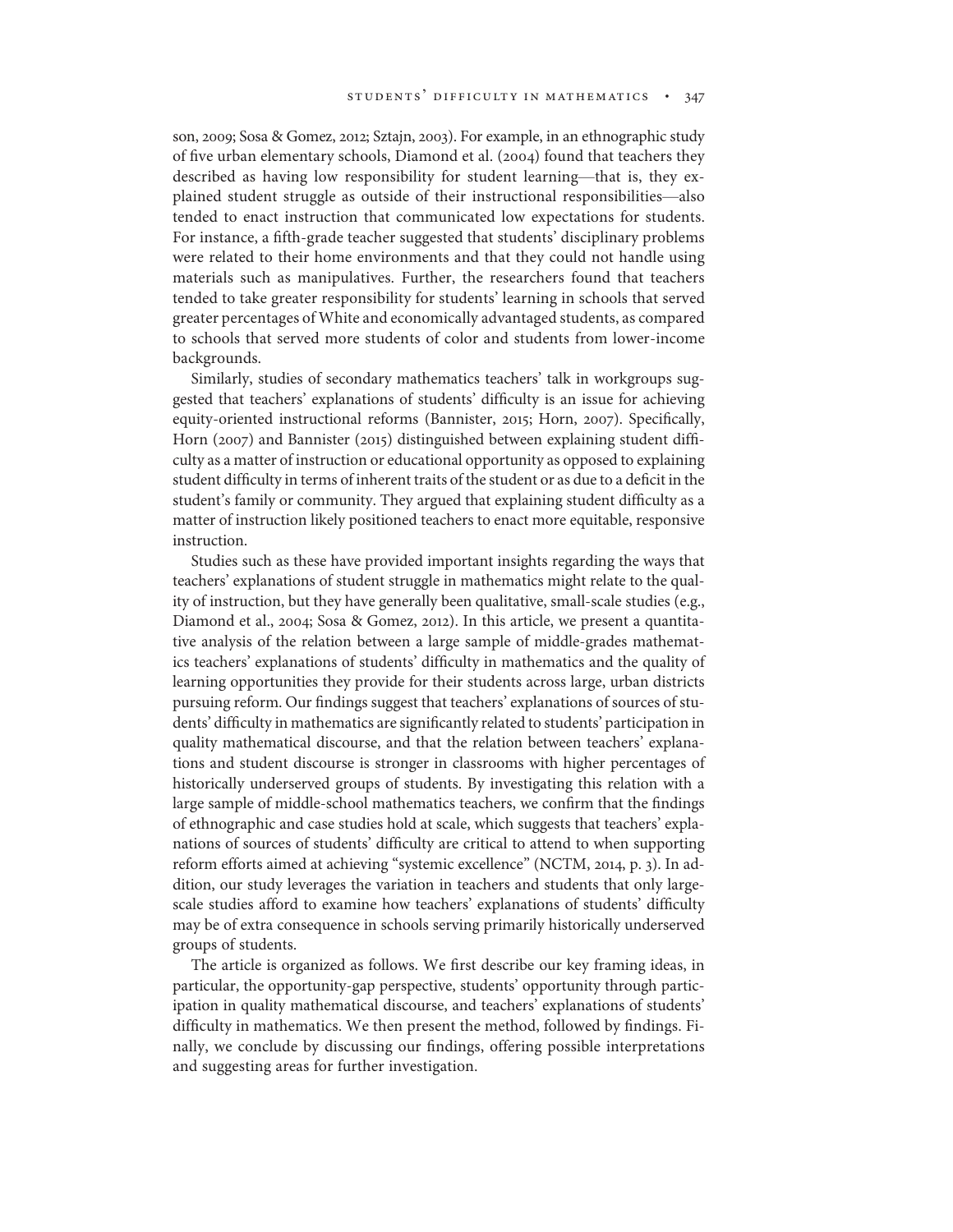son, 2009; Sosa & Gomez, 2012; Sztajn, 2003). For example, in an ethnographic study of five urban elementary schools, Diamond et al. (2004) found that teachers they described as having low responsibility for student learning—that is, they explained student struggle as outside of their instructional responsibilities—also tended to enact instruction that communicated low expectations for students. For instance, a fifth-grade teacher suggested that students' disciplinary problems were related to their home environments and that they could not handle using materials such as manipulatives. Further, the researchers found that teachers tended to take greater responsibility for students' learning in schools that served greater percentages of White and economically advantaged students, as compared to schools that served more students of color and students from lower-income backgrounds.

Similarly, studies of secondary mathematics teachers' talk in workgroups suggested that teachers' explanations of students' difficulty is an issue for achieving equity-oriented instructional reforms (Bannister, 2015; Horn, 2007). Specifically, Horn (2007) and Bannister (2015) distinguished between explaining student difficulty as a matter of instruction or educational opportunity as opposed to explaining student difficulty in terms of inherent traits of the student or as due to a deficit in the student's family or community. They argued that explaining student difficulty as a matter of instruction likely positioned teachers to enact more equitable, responsive instruction.

Studies such as these have provided important insights regarding the ways that teachers' explanations of student struggle in mathematics might relate to the quality of instruction, but they have generally been qualitative, small-scale studies (e.g., Diamond et al., 2004; Sosa & Gomez, 2012). In this article, we present a quantitative analysis of the relation between a large sample of middle-grades mathematics teachers' explanations of students' difficulty in mathematics and the quality of learning opportunities they provide for their students across large, urban districts pursuing reform. Our findings suggest that teachers' explanations of sources of students' difficulty in mathematics are significantly related to students' participation in quality mathematical discourse, and that the relation between teachers' explanations and student discourse is stronger in classrooms with higher percentages of historically underserved groups of students. By investigating this relation with a large sample of middle-school mathematics teachers, we confirm that the findings of ethnographic and case studies hold at scale, which suggests that teachers' explanations of sources of students' difficulty are critical to attend to when supporting reform efforts aimed at achieving "systemic excellence" (NCTM, 2014, p. 3). In addition, our study leverages the variation in teachers and students that only largescale studies afford to examine how teachers' explanations of students' difficulty may be of extra consequence in schools serving primarily historically underserved groups of students.

The article is organized as follows. We first describe our key framing ideas, in particular, the opportunity-gap perspective, students' opportunity through participation in quality mathematical discourse, and teachers' explanations of students' difficulty in mathematics. We then present the method, followed by findings. Finally, we conclude by discussing our findings, offering possible interpretations and suggesting areas for further investigation.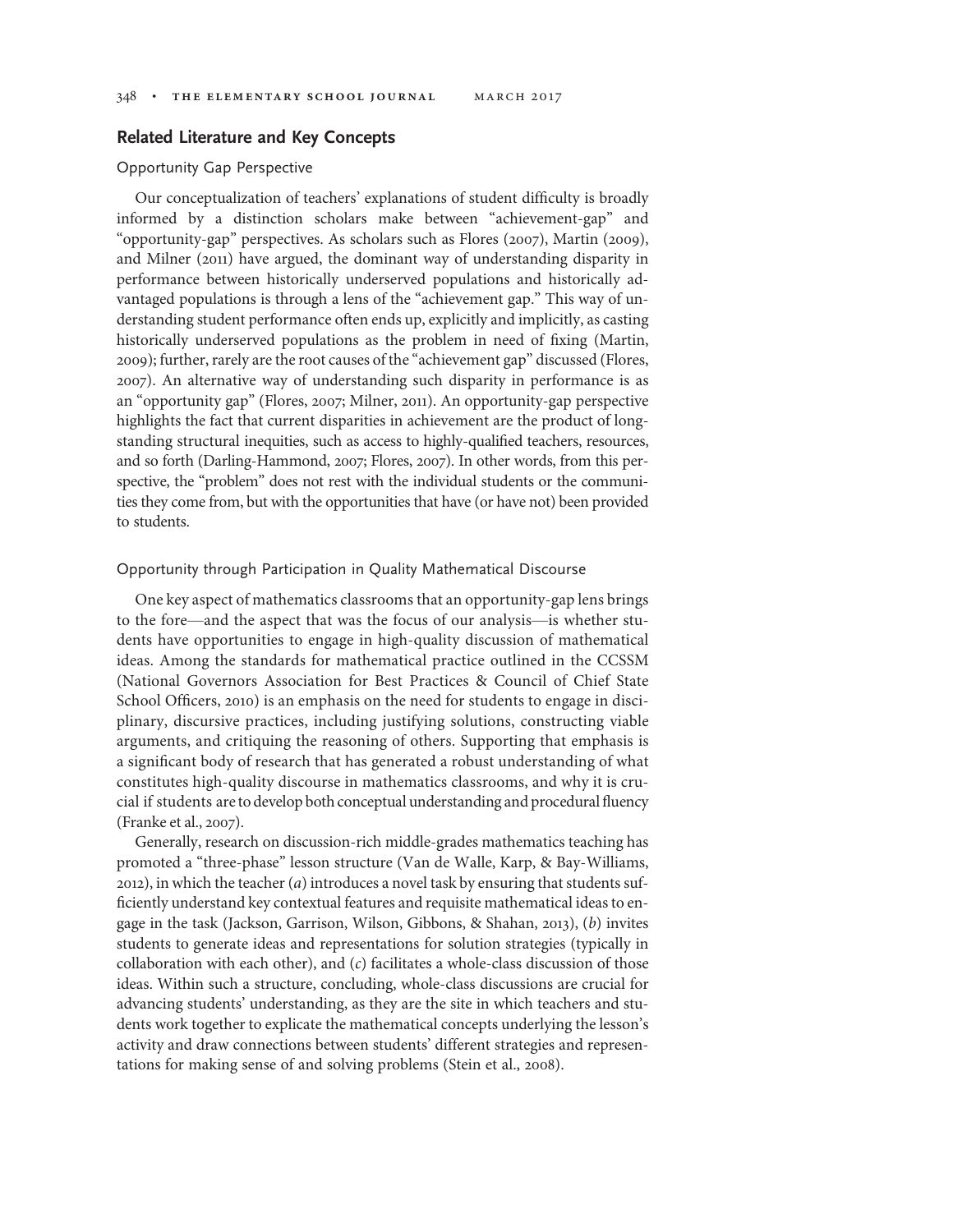## Related Literature and Key Concepts

#### Opportunity Gap Perspective

Our conceptualization of teachers' explanations of student difficulty is broadly informed by a distinction scholars make between "achievement-gap" and "opportunity-gap" perspectives. As scholars such as Flores (2007), Martin (2009), and Milner (2011) have argued, the dominant way of understanding disparity in performance between historically underserved populations and historically advantaged populations is through a lens of the "achievement gap." This way of understanding student performance often ends up, explicitly and implicitly, as casting historically underserved populations as the problem in need of fixing (Martin, 2009); further, rarely are the root causes of the "achievement gap" discussed (Flores, 2007). An alternative way of understanding such disparity in performance is as an "opportunity gap" (Flores, 2007; Milner, 2011). An opportunity-gap perspective highlights the fact that current disparities in achievement are the product of longstanding structural inequities, such as access to highly-qualified teachers, resources, and so forth (Darling-Hammond, 2007; Flores, 2007). In other words, from this perspective, the "problem" does not rest with the individual students or the communities they come from, but with the opportunities that have (or have not) been provided to students.

#### Opportunity through Participation in Quality Mathematical Discourse

One key aspect of mathematics classrooms that an opportunity-gap lens brings to the fore—and the aspect that was the focus of our analysis—is whether students have opportunities to engage in high-quality discussion of mathematical ideas. Among the standards for mathematical practice outlined in the CCSSM (National Governors Association for Best Practices & Council of Chief State School Officers, 2010) is an emphasis on the need for students to engage in disciplinary, discursive practices, including justifying solutions, constructing viable arguments, and critiquing the reasoning of others. Supporting that emphasis is a significant body of research that has generated a robust understanding of what constitutes high-quality discourse in mathematics classrooms, and why it is crucial if students are to develop both conceptual understanding and procedural fluency (Franke et al., 2007).

Generally, research on discussion-rich middle-grades mathematics teaching has promoted a "three-phase" lesson structure (Van de Walle, Karp, & Bay-Williams,  $2012$ ), in which the teacher (*a*) introduces a novel task by ensuring that students sufficiently understand key contextual features and requisite mathematical ideas to engage in the task (Jackson, Garrison, Wilson, Gibbons, & Shahan, 2013), (b) invites students to generate ideas and representations for solution strategies (typically in collaboration with each other), and  $(c)$  facilitates a whole-class discussion of those ideas. Within such a structure, concluding, whole-class discussions are crucial for advancing students' understanding, as they are the site in which teachers and students work together to explicate the mathematical concepts underlying the lesson's activity and draw connections between students' different strategies and representations for making sense of and solving problems (Stein et al., 2008).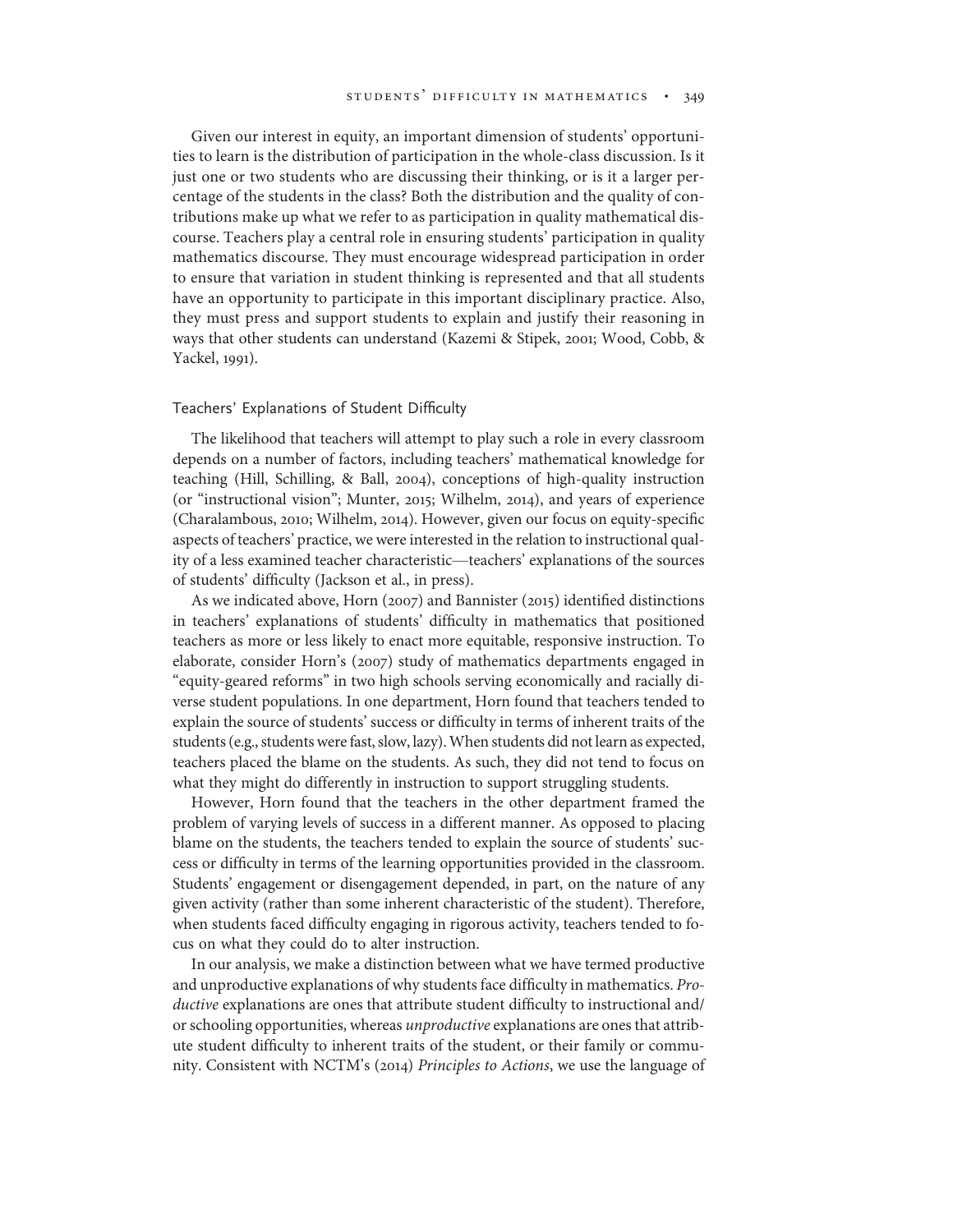Given our interest in equity, an important dimension of students' opportunities to learn is the distribution of participation in the whole-class discussion. Is it just one or two students who are discussing their thinking, or is it a larger percentage of the students in the class? Both the distribution and the quality of contributions make up what we refer to as participation in quality mathematical discourse. Teachers play a central role in ensuring students' participation in quality mathematics discourse. They must encourage widespread participation in order to ensure that variation in student thinking is represented and that all students have an opportunity to participate in this important disciplinary practice. Also, they must press and support students to explain and justify their reasoning in ways that other students can understand (Kazemi & Stipek, 2001; Wood, Cobb, & Yackel, 1991).

#### Teachers' Explanations of Student Difficulty

The likelihood that teachers will attempt to play such a role in every classroom depends on a number of factors, including teachers' mathematical knowledge for teaching (Hill, Schilling, & Ball, 2004), conceptions of high-quality instruction (or "instructional vision"; Munter, 2015; Wilhelm, 2014), and years of experience (Charalambous, 2010; Wilhelm, 2014). However, given our focus on equity-specific aspects of teachers' practice, we were interested in the relation to instructional quality of a less examined teacher characteristic—teachers' explanations of the sources of students' difficulty (Jackson et al., in press).

As we indicated above, Horn (2007) and Bannister (2015) identified distinctions in teachers' explanations of students' difficulty in mathematics that positioned teachers as more or less likely to enact more equitable, responsive instruction. To elaborate, consider Horn's (2007) study of mathematics departments engaged in "equity-geared reforms" in two high schools serving economically and racially diverse student populations. In one department, Horn found that teachers tended to explain the source of students' success or difficulty in terms of inherent traits of the students (e.g., students were fast, slow, lazy).When students did not learn as expected, teachers placed the blame on the students. As such, they did not tend to focus on what they might do differently in instruction to support struggling students.

However, Horn found that the teachers in the other department framed the problem of varying levels of success in a different manner. As opposed to placing blame on the students, the teachers tended to explain the source of students' success or difficulty in terms of the learning opportunities provided in the classroom. Students' engagement or disengagement depended, in part, on the nature of any given activity (rather than some inherent characteristic of the student). Therefore, when students faced difficulty engaging in rigorous activity, teachers tended to focus on what they could do to alter instruction.

In our analysis, we make a distinction between what we have termed productive and unproductive explanations of why students face difficulty in mathematics. Productive explanations are ones that attribute student difficulty to instructional and/ or schooling opportunities, whereas unproductive explanations are ones that attribute student difficulty to inherent traits of the student, or their family or community. Consistent with NCTM's (2014) Principles to Actions, we use the language of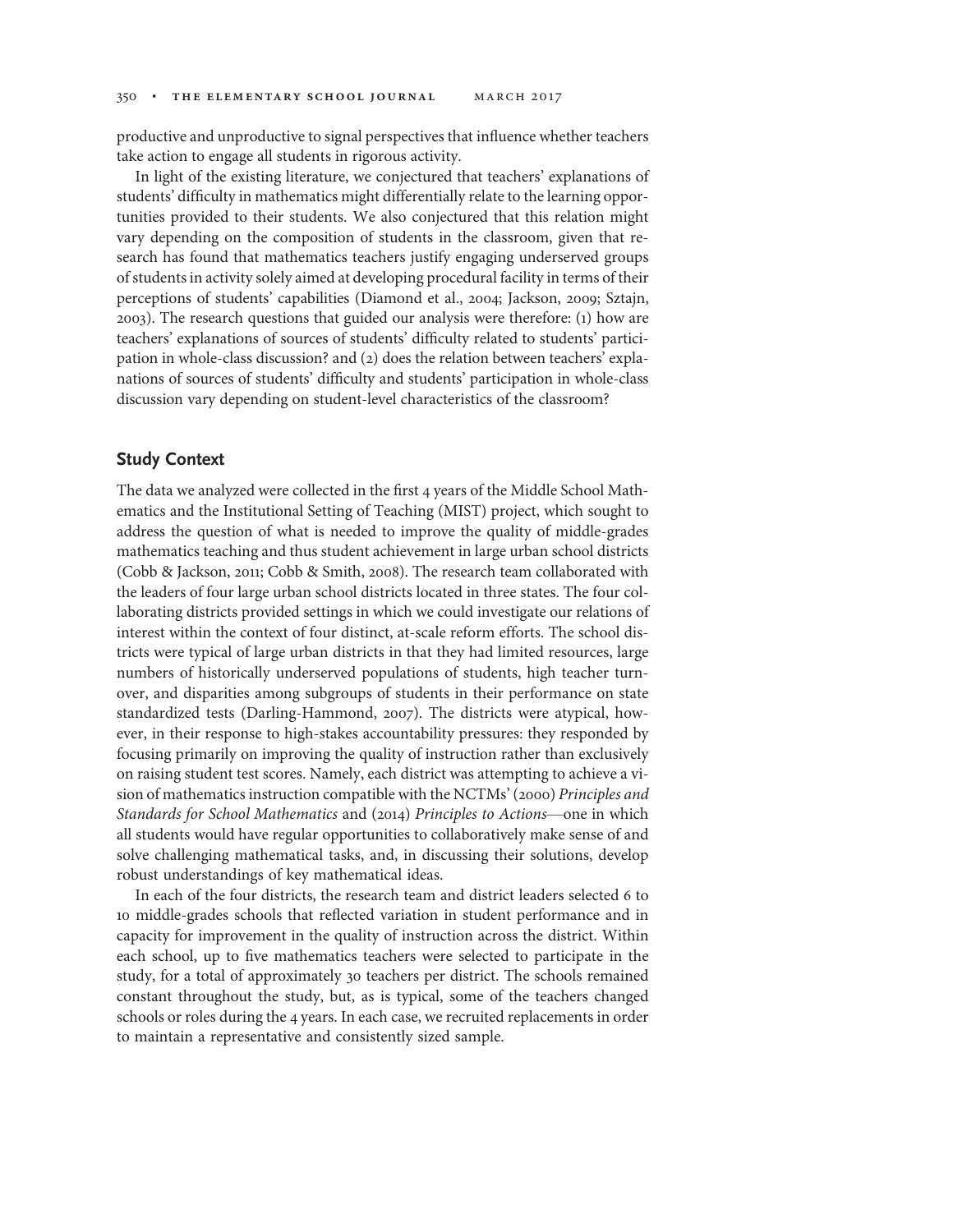productive and unproductive to signal perspectives that influence whether teachers take action to engage all students in rigorous activity.

In light of the existing literature, we conjectured that teachers' explanations of students' difficulty in mathematics might differentially relate to the learning opportunities provided to their students. We also conjectured that this relation might vary depending on the composition of students in the classroom, given that research has found that mathematics teachers justify engaging underserved groups of students in activity solely aimed at developing procedural facility in terms of their perceptions of students' capabilities (Diamond et al., 2004; Jackson, 2009; Sztajn, 2003). The research questions that guided our analysis were therefore: (1) how are teachers' explanations of sources of students' difficulty related to students' participation in whole-class discussion? and (2) does the relation between teachers' explanations of sources of students' difficulty and students' participation in whole-class discussion vary depending on student-level characteristics of the classroom?

## Study Context

The data we analyzed were collected in the first 4 years of the Middle School Mathematics and the Institutional Setting of Teaching (MIST) project, which sought to address the question of what is needed to improve the quality of middle-grades mathematics teaching and thus student achievement in large urban school districts (Cobb & Jackson, 2011; Cobb & Smith, 2008). The research team collaborated with the leaders of four large urban school districts located in three states. The four collaborating districts provided settings in which we could investigate our relations of interest within the context of four distinct, at-scale reform efforts. The school districts were typical of large urban districts in that they had limited resources, large numbers of historically underserved populations of students, high teacher turnover, and disparities among subgroups of students in their performance on state standardized tests (Darling-Hammond, 2007). The districts were atypical, however, in their response to high-stakes accountability pressures: they responded by focusing primarily on improving the quality of instruction rather than exclusively on raising student test scores. Namely, each district was attempting to achieve a vision of mathematics instruction compatible with the NCTMs' (2000) Principles and Standards for School Mathematics and (2014) Principles to Actions—one in which all students would have regular opportunities to collaboratively make sense of and solve challenging mathematical tasks, and, in discussing their solutions, develop robust understandings of key mathematical ideas.

In each of the four districts, the research team and district leaders selected 6 to 10 middle-grades schools that reflected variation in student performance and in capacity for improvement in the quality of instruction across the district. Within each school, up to five mathematics teachers were selected to participate in the study, for a total of approximately 30 teachers per district. The schools remained constant throughout the study, but, as is typical, some of the teachers changed schools or roles during the 4 years. In each case, we recruited replacements in order to maintain a representative and consistently sized sample.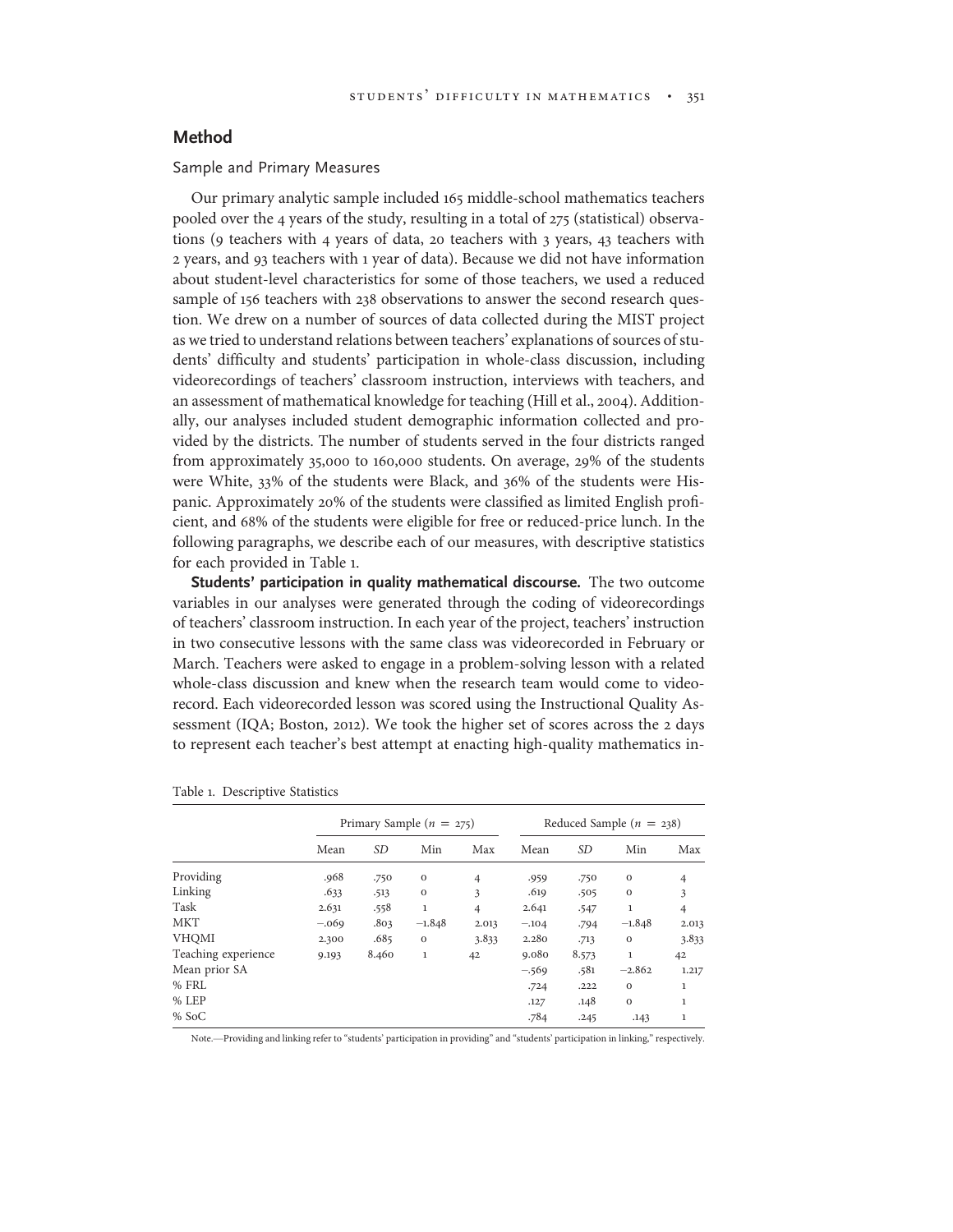## Method

#### Sample and Primary Measures

Our primary analytic sample included 165 middle-school mathematics teachers pooled over the 4 years of the study, resulting in a total of 275 (statistical) observations (9 teachers with 4 years of data, 20 teachers with 3 years, 43 teachers with 2 years, and 93 teachers with 1 year of data). Because we did not have information about student-level characteristics for some of those teachers, we used a reduced sample of 156 teachers with 238 observations to answer the second research question. We drew on a number of sources of data collected during the MIST project as we tried to understand relations between teachers' explanations of sources of students' difficulty and students' participation in whole-class discussion, including videorecordings of teachers' classroom instruction, interviews with teachers, and an assessment of mathematical knowledge for teaching (Hill et al., 2004). Additionally, our analyses included student demographic information collected and provided by the districts. The number of students served in the four districts ranged from approximately 35,000 to 160,000 students. On average, 29% of the students were White, 33% of the students were Black, and 36% of the students were Hispanic. Approximately 20% of the students were classified as limited English proficient, and 68% of the students were eligible for free or reduced-price lunch. In the following paragraphs, we describe each of our measures, with descriptive statistics for each provided in Table 1.

Students' participation in quality mathematical discourse. The two outcome variables in our analyses were generated through the coding of videorecordings of teachers' classroom instruction. In each year of the project, teachers' instruction in two consecutive lessons with the same class was videorecorded in February or March. Teachers were asked to engage in a problem-solving lesson with a related whole-class discussion and knew when the research team would come to videorecord. Each videorecorded lesson was scored using the Instructional Quality Assessment (IQA; Boston, 2012). We took the higher set of scores across the 2 days to represent each teacher's best attempt at enacting high-quality mathematics in-

|                     | Primary Sample $(n = 275)$ |           |              |                | Reduced Sample $(n = 238)$ |       |              |                |  |
|---------------------|----------------------------|-----------|--------------|----------------|----------------------------|-------|--------------|----------------|--|
|                     | Mean                       | <i>SD</i> | Min          | Max            | Mean                       | SD    | Min          | Max            |  |
| Providing           | .968                       | .750      | $\mathbf{O}$ | $\overline{4}$ | .959                       | .750  | $\mathbf{O}$ | $\overline{4}$ |  |
| Linking             | .633                       | .513      | $\mathbf{O}$ | 3              | .619                       | .505  | $\mathbf{O}$ | 3              |  |
| Task                | 2.631                      | .558      | $\mathbf{1}$ | $\overline{4}$ | 2.641                      | .547  | $\mathbf{1}$ | $\overline{4}$ |  |
| <b>MKT</b>          | $-.069$                    | .803      | $-1.848$     | 2.013          | $-.104$                    | .794  | $-1.848$     | 2.013          |  |
| <b>VHOMI</b>        | 2.300                      | .685      | $\mathbf{O}$ | 3.833          | 2.280                      | .713  | $\mathbf{O}$ | 3.833          |  |
| Teaching experience | 9.193                      | 8.460     | $\mathbf{1}$ | 42             | 9.080                      | 8.573 | $\mathbf{1}$ | 42             |  |
| Mean prior SA       |                            |           |              |                | $-.569$                    | .581  | $-2.862$     | 1.217          |  |
| % FRL               |                            |           |              |                | .724                       | .222  | $\mathbf{O}$ | $\mathbf{1}$   |  |
| % LEP               |                            |           |              |                | .127                       | .148  | $\mathbf{O}$ | $\mathbf{1}$   |  |
| % SoC               |                            |           |              |                | .784                       | .245  | .143         | $\mathbf{1}$   |  |

Table 1. Descriptive Statistics

Note.—Providing and linking refer to "students' participation in providing" and "students' participation in linking," respectively.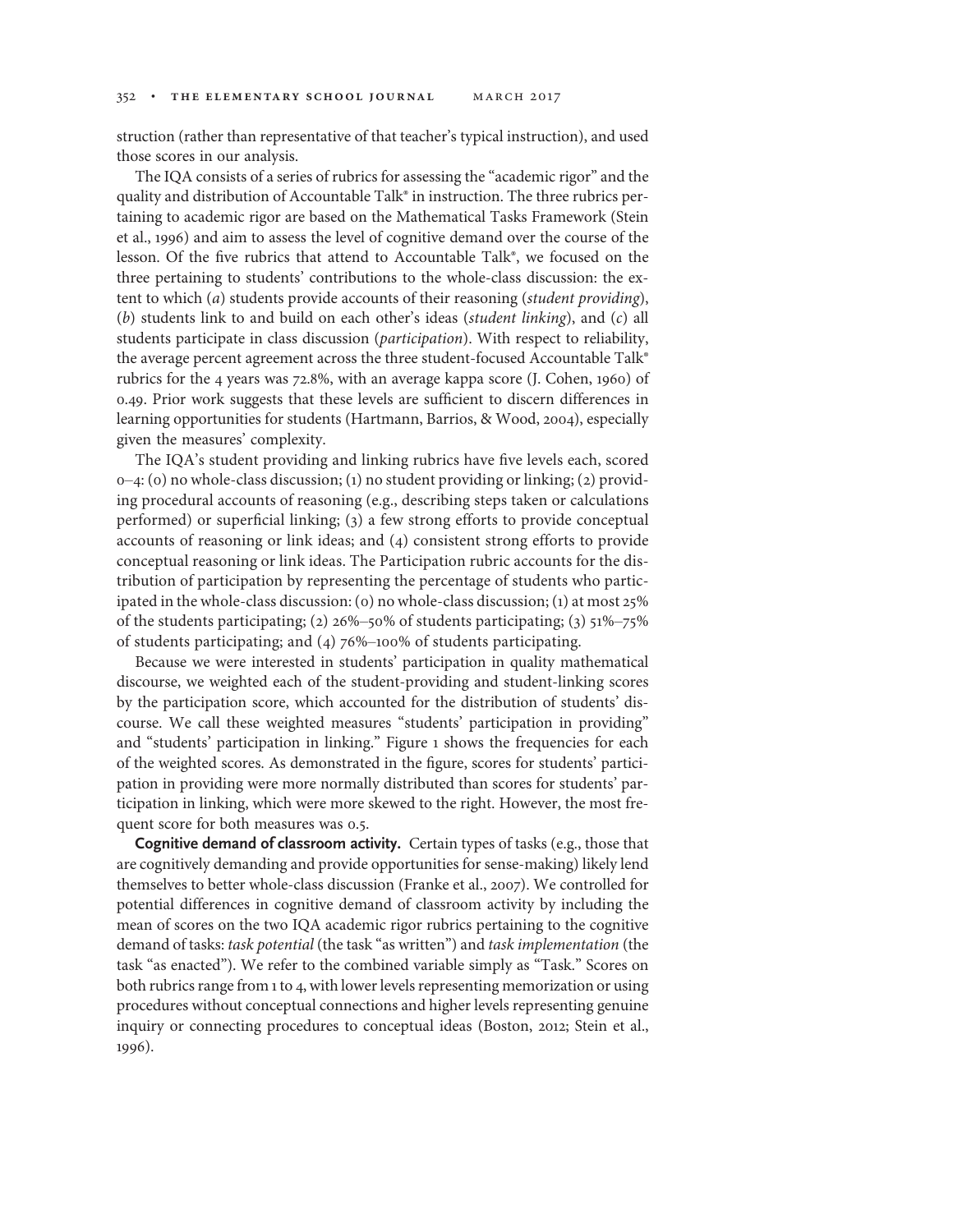struction (rather than representative of that teacher's typical instruction), and used those scores in our analysis.

The IQA consists of a series of rubrics for assessing the "academic rigor" and the quality and distribution of Accountable Talk® in instruction. The three rubrics pertaining to academic rigor are based on the Mathematical Tasks Framework (Stein et al., 1996) and aim to assess the level of cognitive demand over the course of the lesson. Of the five rubrics that attend to Accountable Talk®, we focused on the three pertaining to students' contributions to the whole-class discussion: the extent to which (a) students provide accounts of their reasoning (student providing), (b) students link to and build on each other's ideas (student linking), and (c) all students participate in class discussion (participation). With respect to reliability, the average percent agreement across the three student-focused Accountable Talk® rubrics for the 4 years was 72.8%, with an average kappa score (J. Cohen, 1960) of 0.49. Prior work suggests that these levels are sufficient to discern differences in learning opportunities for students (Hartmann, Barrios, & Wood, 2004), especially given the measures' complexity.

The IQA's student providing and linking rubrics have five levels each, scored 0–4: (0) no whole-class discussion; (1) no student providing or linking; (2) providing procedural accounts of reasoning (e.g., describing steps taken or calculations performed) or superficial linking; (3) a few strong efforts to provide conceptual accounts of reasoning or link ideas; and (4) consistent strong efforts to provide conceptual reasoning or link ideas. The Participation rubric accounts for the distribution of participation by representing the percentage of students who participated in the whole-class discussion: (0) no whole-class discussion; (1) at most 25% of the students participating; (2) 26%–50% of students participating; (3) 51%–75% of students participating; and (4) 76%–100% of students participating.

Because we were interested in students' participation in quality mathematical discourse, we weighted each of the student-providing and student-linking scores by the participation score, which accounted for the distribution of students' discourse. We call these weighted measures "students' participation in providing" and "students' participation in linking." Figure 1 shows the frequencies for each of the weighted scores. As demonstrated in the figure, scores for students' participation in providing were more normally distributed than scores for students' participation in linking, which were more skewed to the right. However, the most frequent score for both measures was 0.5.

**Cognitive demand of classroom activity.** Certain types of tasks (e.g., those that are cognitively demanding and provide opportunities for sense-making) likely lend themselves to better whole-class discussion (Franke et al., 2007). We controlled for potential differences in cognitive demand of classroom activity by including the mean of scores on the two IQA academic rigor rubrics pertaining to the cognitive demand of tasks: task potential (the task "as written") and task implementation (the task "as enacted"). We refer to the combined variable simply as "Task." Scores on both rubrics range from 1 to 4, with lower levels representing memorization or using procedures without conceptual connections and higher levels representing genuine inquiry or connecting procedures to conceptual ideas (Boston, 2012; Stein et al., 1996).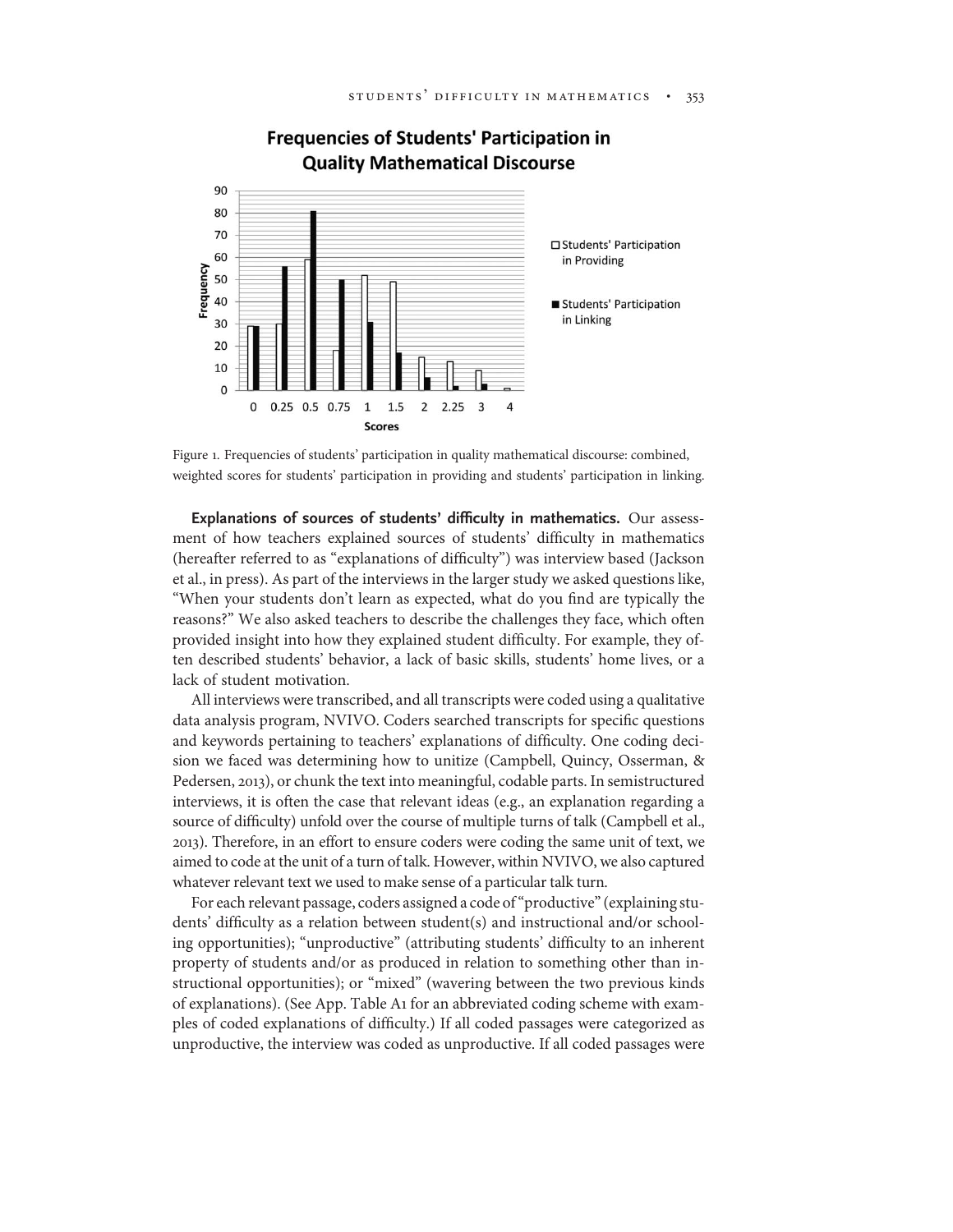

# **Frequencies of Students' Participation in Quality Mathematical Discourse**

Figure 1. Frequencies of students' participation in quality mathematical discourse: combined, weighted scores for students' participation in providing and students' participation in linking.

Explanations of sources of students' difficulty in mathematics. Our assessment of how teachers explained sources of students' difficulty in mathematics (hereafter referred to as "explanations of difficulty") was interview based (Jackson et al., in press). As part of the interviews in the larger study we asked questions like, "When your students don't learn as expected, what do you find are typically the reasons?" We also asked teachers to describe the challenges they face, which often provided insight into how they explained student difficulty. For example, they often described students' behavior, a lack of basic skills, students' home lives, or a lack of student motivation.

All interviews were transcribed, and all transcripts were coded using a qualitative data analysis program, NVIVO. Coders searched transcripts for specific questions and keywords pertaining to teachers' explanations of difficulty. One coding decision we faced was determining how to unitize (Campbell, Quincy, Osserman, & Pedersen, 2013), or chunk the text into meaningful, codable parts. In semistructured interviews, it is often the case that relevant ideas (e.g., an explanation regarding a source of difficulty) unfold over the course of multiple turns of talk (Campbell et al., 2013). Therefore, in an effort to ensure coders were coding the same unit of text, we aimed to code at the unit of a turn of talk. However, within NVIVO, we also captured whatever relevant text we used to make sense of a particular talk turn.

For each relevant passage, coders assigned a code of"productive"(explaining students' difficulty as a relation between student(s) and instructional and/or schooling opportunities); "unproductive" (attributing students' difficulty to an inherent property of students and/or as produced in relation to something other than instructional opportunities); or "mixed" (wavering between the two previous kinds of explanations). (See App. Table A1 for an abbreviated coding scheme with examples of coded explanations of difficulty.) If all coded passages were categorized as unproductive, the interview was coded as unproductive. If all coded passages were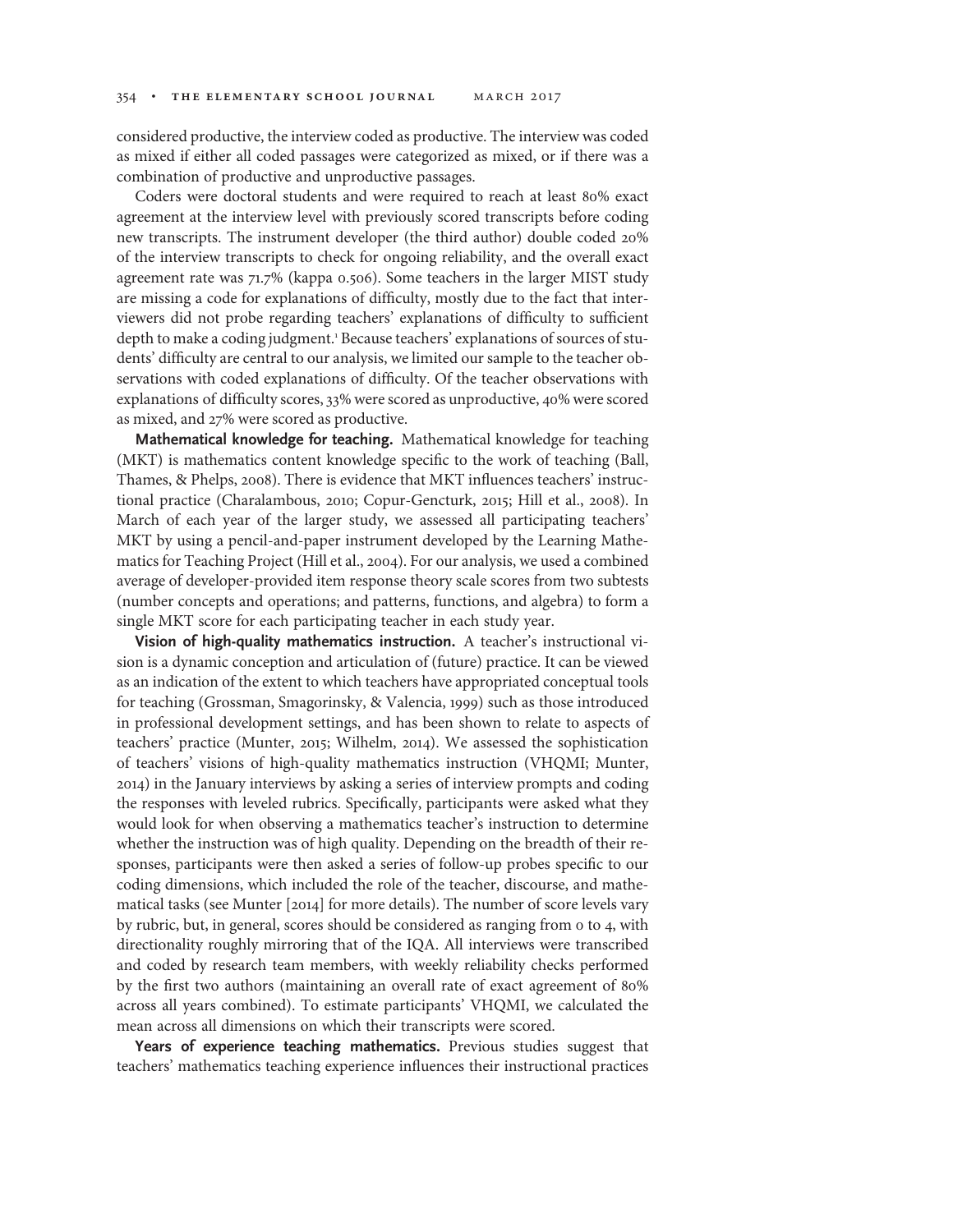considered productive, the interview coded as productive. The interview was coded as mixed if either all coded passages were categorized as mixed, or if there was a combination of productive and unproductive passages.

Coders were doctoral students and were required to reach at least 80% exact agreement at the interview level with previously scored transcripts before coding new transcripts. The instrument developer (the third author) double coded 20% of the interview transcripts to check for ongoing reliability, and the overall exact agreement rate was 71.7% (kappa 0.506). Some teachers in the larger MIST study are missing a code for explanations of difficulty, mostly due to the fact that interviewers did not probe regarding teachers' explanations of difficulty to sufficient depth to make a coding judgment.<sup>1</sup> Because teachers' explanations of sources of students' difficulty are central to our analysis, we limited our sample to the teacher observations with coded explanations of difficulty. Of the teacher observations with explanations of difficulty scores, 33% were scored as unproductive, 40% were scored as mixed, and 27% were scored as productive.

Mathematical knowledge for teaching. Mathematical knowledge for teaching (MKT) is mathematics content knowledge specific to the work of teaching (Ball, Thames, & Phelps, 2008). There is evidence that MKT influences teachers' instructional practice (Charalambous, 2010; Copur-Gencturk, 2015; Hill et al., 2008). In March of each year of the larger study, we assessed all participating teachers' MKT by using a pencil-and-paper instrument developed by the Learning Mathematics for Teaching Project (Hill et al., 2004). For our analysis, we used a combined average of developer-provided item response theory scale scores from two subtests (number concepts and operations; and patterns, functions, and algebra) to form a single MKT score for each participating teacher in each study year.

Vision of high-quality mathematics instruction. A teacher's instructional vision is a dynamic conception and articulation of (future) practice. It can be viewed as an indication of the extent to which teachers have appropriated conceptual tools for teaching (Grossman, Smagorinsky, & Valencia, 1999) such as those introduced in professional development settings, and has been shown to relate to aspects of teachers' practice (Munter, 2015; Wilhelm, 2014). We assessed the sophistication of teachers' visions of high-quality mathematics instruction (VHQMI; Munter, 2014) in the January interviews by asking a series of interview prompts and coding the responses with leveled rubrics. Specifically, participants were asked what they would look for when observing a mathematics teacher's instruction to determine whether the instruction was of high quality. Depending on the breadth of their responses, participants were then asked a series of follow-up probes specific to our coding dimensions, which included the role of the teacher, discourse, and mathematical tasks (see Munter [2014] for more details). The number of score levels vary by rubric, but, in general, scores should be considered as ranging from 0 to 4, with directionality roughly mirroring that of the IQA. All interviews were transcribed and coded by research team members, with weekly reliability checks performed by the first two authors (maintaining an overall rate of exact agreement of 80% across all years combined). To estimate participants' VHQMI, we calculated the mean across all dimensions on which their transcripts were scored.

Years of experience teaching mathematics. Previous studies suggest that teachers' mathematics teaching experience influences their instructional practices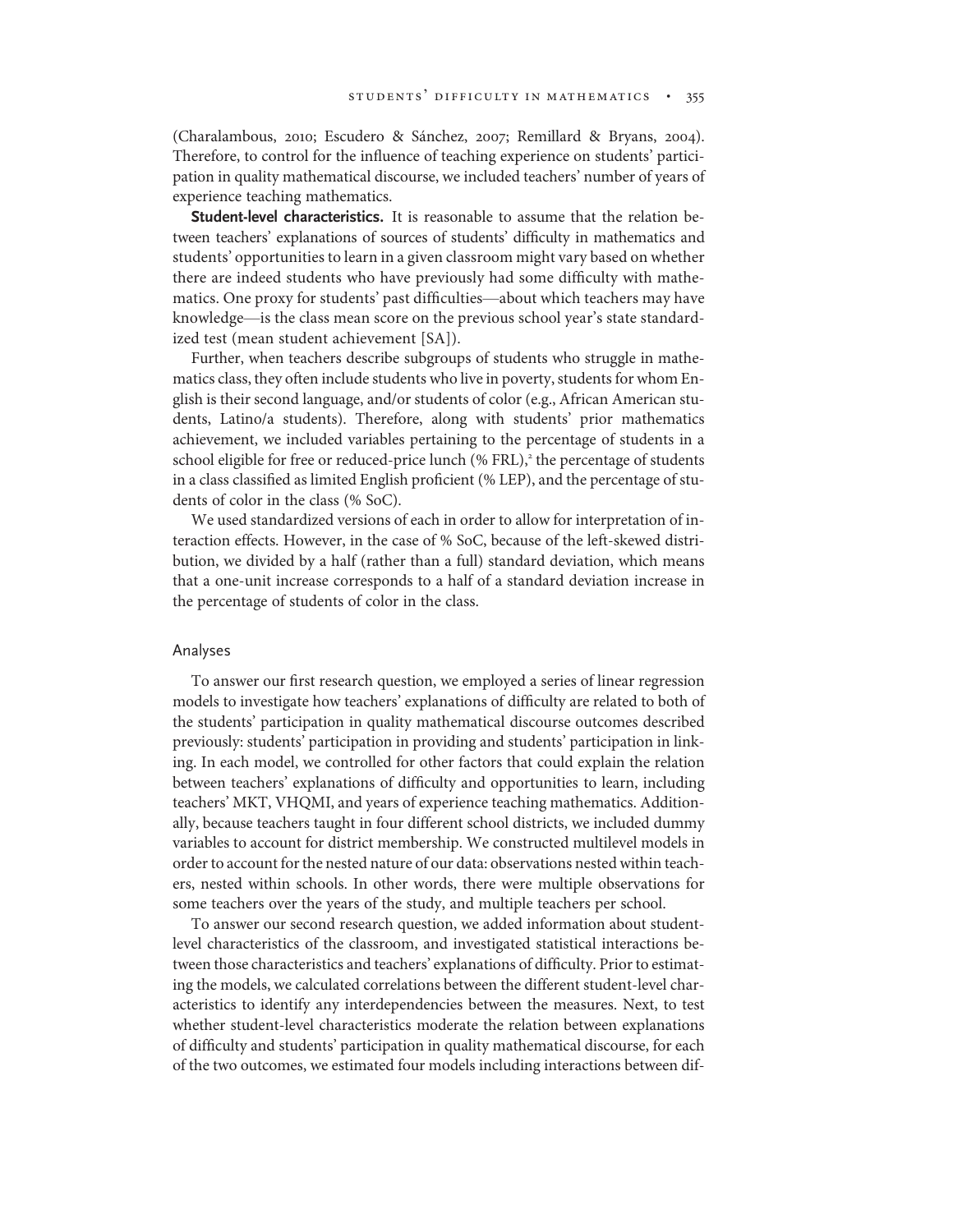(Charalambous, 2010; Escudero & Sánchez, 2007; Remillard & Bryans, 2004). Therefore, to control for the influence of teaching experience on students' participation in quality mathematical discourse, we included teachers' number of years of experience teaching mathematics.

Student-level characteristics. It is reasonable to assume that the relation between teachers' explanations of sources of students' difficulty in mathematics and students' opportunities to learn in a given classroom might vary based on whether there are indeed students who have previously had some difficulty with mathematics. One proxy for students' past difficulties—about which teachers may have knowledge—is the class mean score on the previous school year's state standardized test (mean student achievement [SA]).

Further, when teachers describe subgroups of students who struggle in mathematics class, they often include students who live in poverty, students for whom English is their second language, and/or students of color (e.g., African American students, Latino/a students). Therefore, along with students' prior mathematics achievement, we included variables pertaining to the percentage of students in a school eligible for free or reduced-price lunch (% FRL),<sup>2</sup> the percentage of students in a class classified as limited English proficient (% LEP), and the percentage of students of color in the class (% SoC).

We used standardized versions of each in order to allow for interpretation of interaction effects. However, in the case of % SoC, because of the left-skewed distribution, we divided by a half (rather than a full) standard deviation, which means that a one-unit increase corresponds to a half of a standard deviation increase in the percentage of students of color in the class.

## Analyses

To answer our first research question, we employed a series of linear regression models to investigate how teachers' explanations of difficulty are related to both of the students' participation in quality mathematical discourse outcomes described previously: students' participation in providing and students' participation in linking. In each model, we controlled for other factors that could explain the relation between teachers' explanations of difficulty and opportunities to learn, including teachers' MKT, VHQMI, and years of experience teaching mathematics. Additionally, because teachers taught in four different school districts, we included dummy variables to account for district membership. We constructed multilevel models in order to account for the nested nature of our data: observations nested within teachers, nested within schools. In other words, there were multiple observations for some teachers over the years of the study, and multiple teachers per school.

To answer our second research question, we added information about studentlevel characteristics of the classroom, and investigated statistical interactions between those characteristics and teachers' explanations of difficulty. Prior to estimating the models, we calculated correlations between the different student-level characteristics to identify any interdependencies between the measures. Next, to test whether student-level characteristics moderate the relation between explanations of difficulty and students' participation in quality mathematical discourse, for each of the two outcomes, we estimated four models including interactions between dif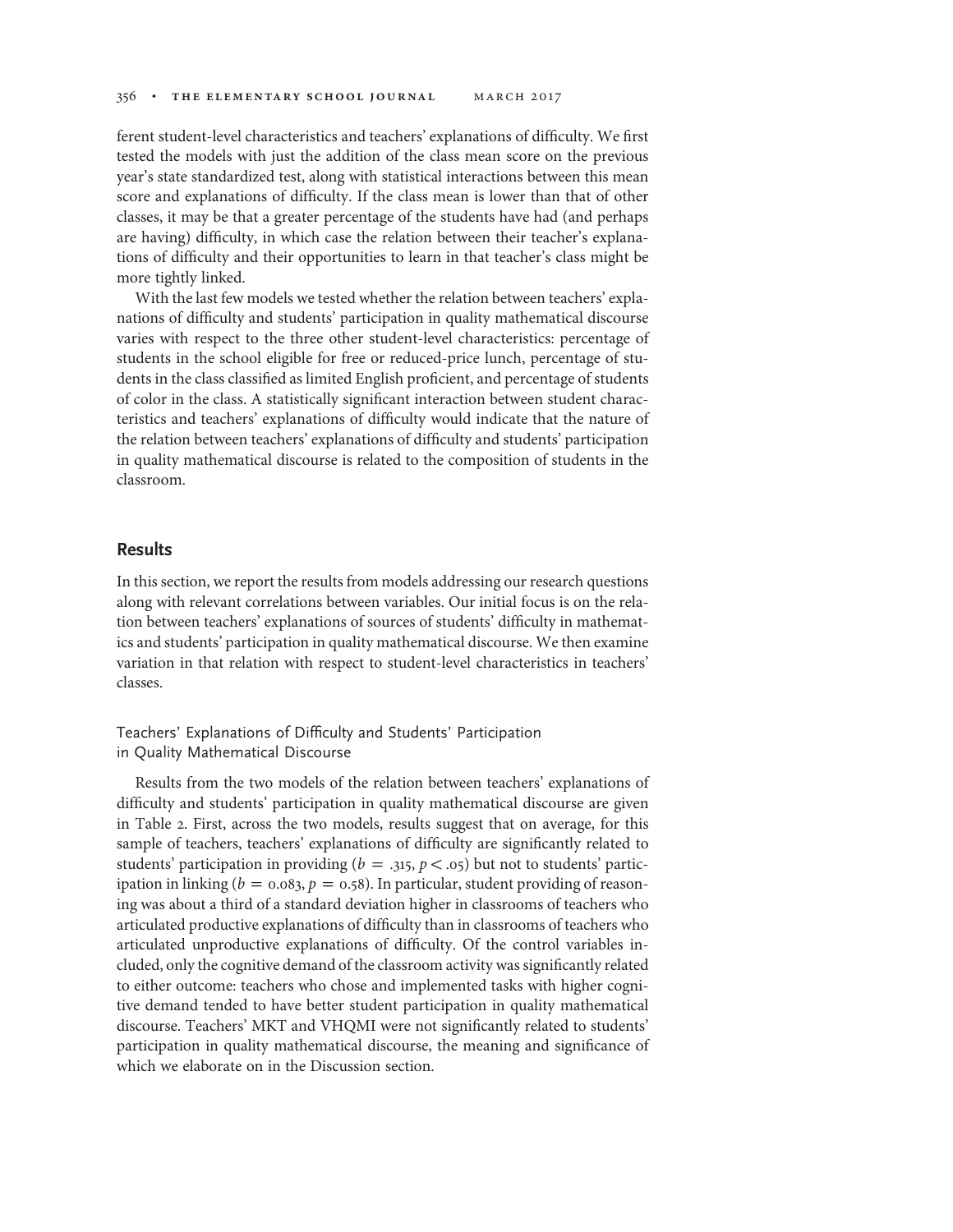ferent student-level characteristics and teachers' explanations of difficulty. We first tested the models with just the addition of the class mean score on the previous year's state standardized test, along with statistical interactions between this mean score and explanations of difficulty. If the class mean is lower than that of other classes, it may be that a greater percentage of the students have had (and perhaps are having) difficulty, in which case the relation between their teacher's explanations of difficulty and their opportunities to learn in that teacher's class might be more tightly linked.

With the last few models we tested whether the relation between teachers' explanations of difficulty and students' participation in quality mathematical discourse varies with respect to the three other student-level characteristics: percentage of students in the school eligible for free or reduced-price lunch, percentage of students in the class classified as limited English proficient, and percentage of students of color in the class. A statistically significant interaction between student characteristics and teachers' explanations of difficulty would indicate that the nature of the relation between teachers' explanations of difficulty and students' participation in quality mathematical discourse is related to the composition of students in the classroom.

## **Results**

In this section, we report the results from models addressing our research questions along with relevant correlations between variables. Our initial focus is on the relation between teachers' explanations of sources of students' difficulty in mathematics and students' participation in quality mathematical discourse. We then examine variation in that relation with respect to student-level characteristics in teachers' classes.

## Teachers' Explanations of Difficulty and Students' Participation in Quality Mathematical Discourse

Results from the two models of the relation between teachers' explanations of difficulty and students' participation in quality mathematical discourse are given in Table 2. First, across the two models, results suggest that on average, for this sample of teachers, teachers' explanations of difficulty are significantly related to students' participation in providing ( $b = .315$ ,  $p < .05$ ) but not to students' participation in linking ( $b = 0.083$ ,  $p = 0.58$ ). In particular, student providing of reasoning was about a third of a standard deviation higher in classrooms of teachers who articulated productive explanations of difficulty than in classrooms of teachers who articulated unproductive explanations of difficulty. Of the control variables included, only the cognitive demand of the classroom activity was significantly related to either outcome: teachers who chose and implemented tasks with higher cognitive demand tended to have better student participation in quality mathematical discourse. Teachers' MKT and VHQMI were not significantly related to students' participation in quality mathematical discourse, the meaning and significance of which we elaborate on in the Discussion section.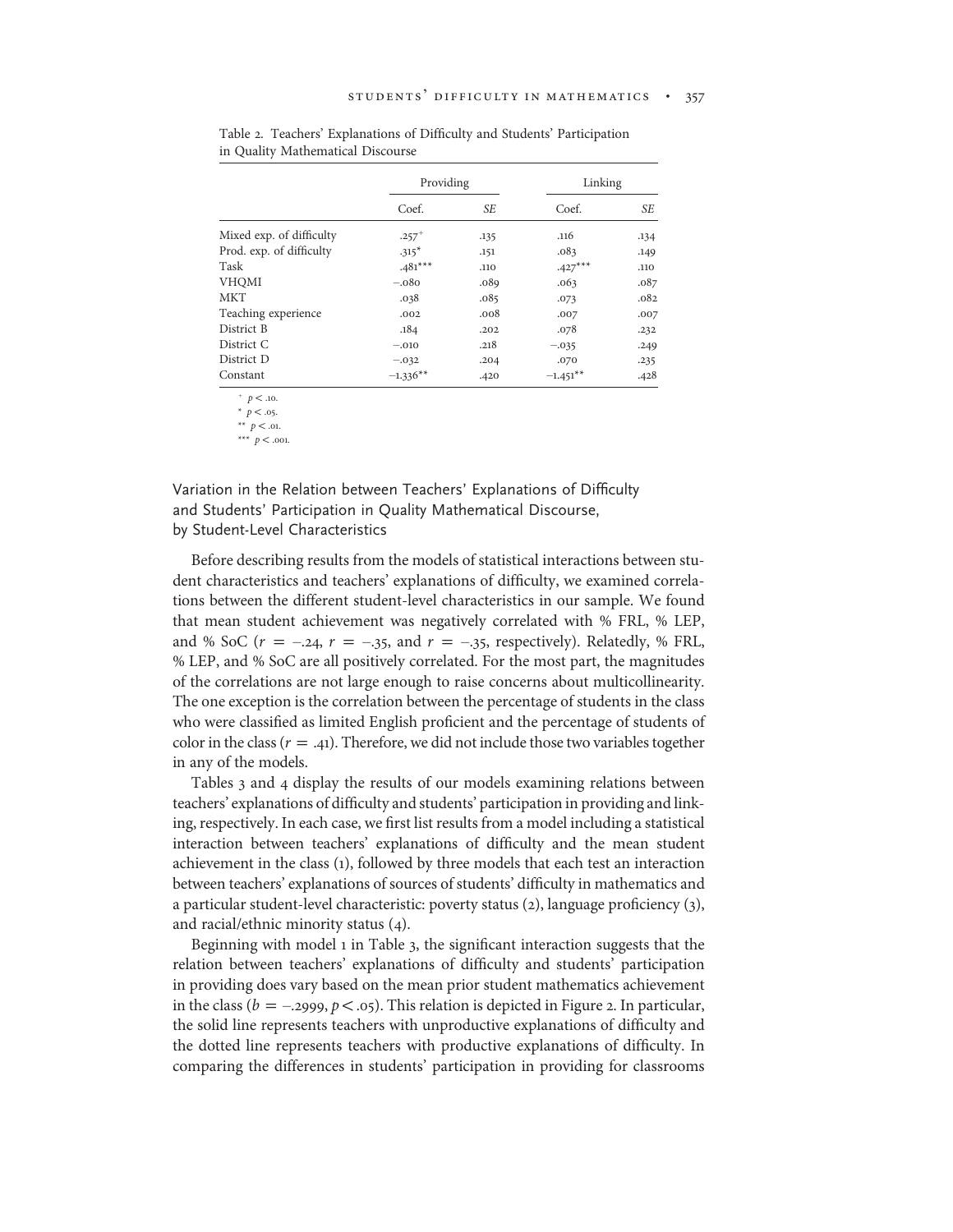|                          | Providing           |      | Linking    |      |  |
|--------------------------|---------------------|------|------------|------|--|
|                          | Coef.               | SE   | Coef.      | SE   |  |
| Mixed exp. of difficulty | $.257$ <sup>+</sup> | .135 | .116       | .134 |  |
| Prod. exp. of difficulty | $.315*$             | .151 | .083       | .149 |  |
| Task                     | $.481***$           | .110 | $.427***$  | .110 |  |
| <b>VHOMI</b>             | $-.080$             | .089 | .063       | .087 |  |
| <b>MKT</b>               | .038                | .085 | .073       | .082 |  |
| Teaching experience      | .002                | .008 | .007       | .007 |  |
| District B               | .184                | .202 | .078       | .232 |  |
| District C               | $-.010$             | .218 | $-.035$    | .249 |  |
| District D               | $-.032$             | .204 | .070       | .235 |  |
| Constant                 | $-1.336**$          | .420 | $-1.451**$ | .428 |  |

Table 2. Teachers' Explanations of Difficulty and Students' Participation in Quality Mathematical Discourse

 $+ p < .10.$ 

\*  $p < .05$ .

\*\*  $p < .01$ .

\*\*\*  $p < .001$ .

Variation in the Relation between Teachers' Explanations of Difficulty and Students' Participation in Quality Mathematical Discourse, by Student-Level Characteristics

Before describing results from the models of statistical interactions between student characteristics and teachers' explanations of difficulty, we examined correlations between the different student-level characteristics in our sample. We found that mean student achievement was negatively correlated with % FRL, % LEP, and % SoC ( $r = -.24$ ,  $r = -.35$ , and  $r = -.35$ , respectively). Relatedly, % FRL, % LEP, and % SoC are all positively correlated. For the most part, the magnitudes of the correlations are not large enough to raise concerns about multicollinearity. The one exception is the correlation between the percentage of students in the class who were classified as limited English proficient and the percentage of students of color in the class ( $r = .41$ ). Therefore, we did not include those two variables together in any of the models.

Tables 3 and 4 display the results of our models examining relations between teachers' explanations of difficulty and students' participation in providing and linking, respectively. In each case, we first list results from a model including a statistical interaction between teachers' explanations of difficulty and the mean student achievement in the class (1), followed by three models that each test an interaction between teachers' explanations of sources of students' difficulty in mathematics and a particular student-level characteristic: poverty status (2), language proficiency (3), and racial/ethnic minority status (4).

Beginning with model 1 in Table 3, the significant interaction suggests that the relation between teachers' explanations of difficulty and students' participation in providing does vary based on the mean prior student mathematics achievement in the class ( $b = -.2999, p < .05$ ). This relation is depicted in Figure 2. In particular, the solid line represents teachers with unproductive explanations of difficulty and the dotted line represents teachers with productive explanations of difficulty. In comparing the differences in students' participation in providing for classrooms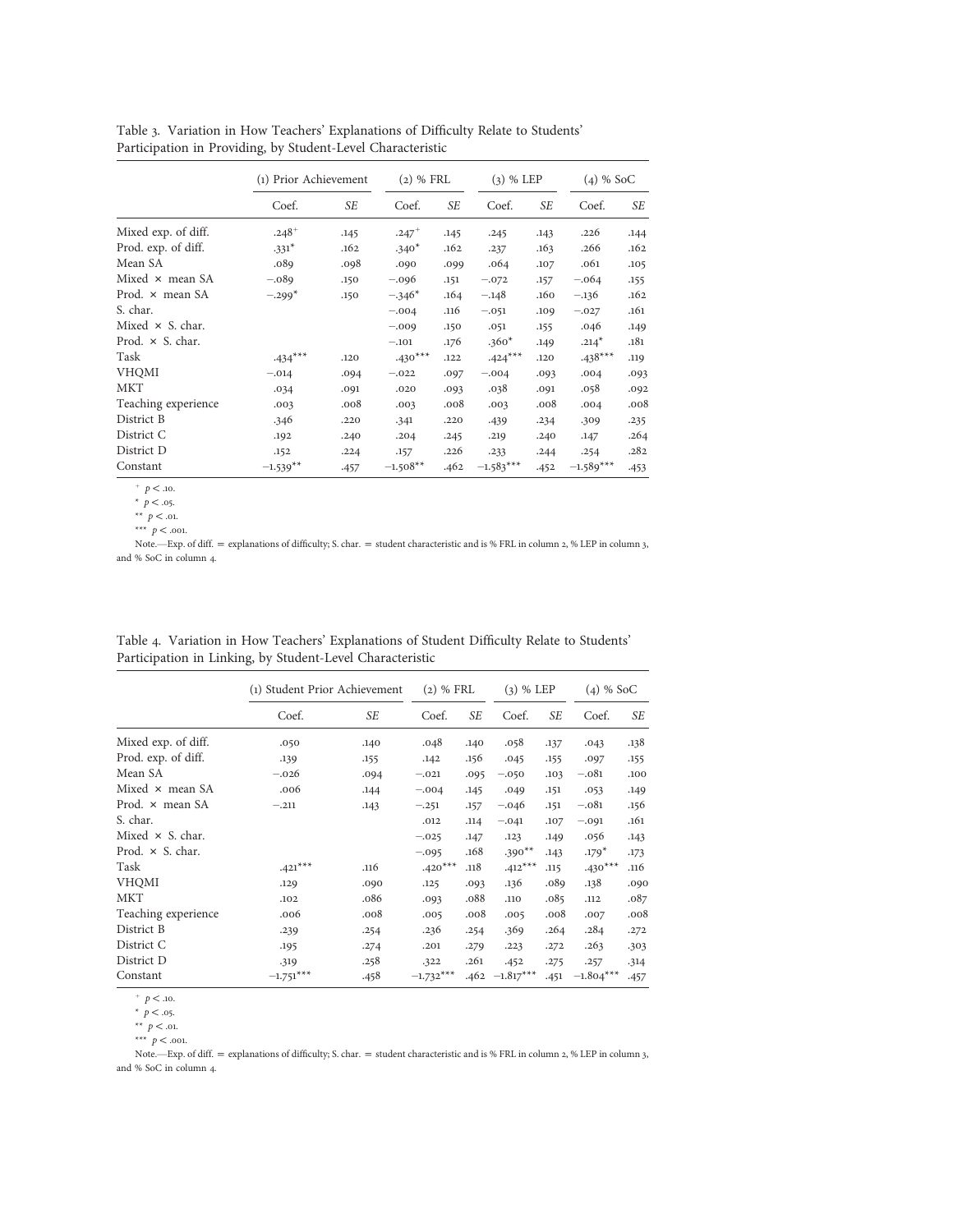|                         | (1) Prior Achievement |        | $(2)$ % FRL |      | $(3)$ % LEP |           | $(4)$ % SoC |      |
|-------------------------|-----------------------|--------|-------------|------|-------------|-----------|-------------|------|
|                         | Coef.                 | SE     | Coef.       | SE   | Coef.       | <b>SE</b> | Coef.       | SE   |
| Mixed exp. of diff.     | $.248 +$              | .145   | $.247 +$    | .145 | .245        | .143      | .226        | .144 |
| Prod. exp. of diff.     | $.331*$               | .162   | $.340*$     | .162 | .237        | .163      | .266        | .162 |
| Mean SA                 | .089                  | .098   | .090        | .099 | .064        | .107      | .061        | .105 |
| Mixed $\times$ mean SA  | $-.089$               | .150   | $-.096$     | .151 | $-.072$     | .157      | $-.064$     | .155 |
| Prod. $\times$ mean SA  | $-.299*$              | .150   | $-.346*$    | .164 | $-.148$     | .160      | $-.136$     | .162 |
| S. char.                |                       |        | $-.004$     | .116 | $-.051$     | .109      | $-.027$     | .161 |
| Mixed $\times$ S. char. |                       |        | $-0.09$     | .150 | .051        | .155      | .046        | .149 |
| Prod. $\times$ S. char. |                       |        | $-.101$     | .176 | $.360*$     | .149      | $.214*$     | .181 |
| Task                    | $.434***$             | .120   | $.430***$   | .122 | $.424***$   | .120      | $.438***$   | .119 |
| <b>VHQMI</b>            | $-.014$               | .094   | $-.022$     | .097 | $-.004$     | .093      | .004        | .093 |
| <b>MKT</b>              | .034                  | .091   | .020        | .093 | .038        | .091      | .058        | .092 |
| Teaching experience     | .003                  | .008   | .003        | .008 | .003        | .008      | .004        | .008 |
| District B              | .346                  | .220   | .341        | .220 | $-439$      | .234      | .309        | .235 |
| District C              | .192                  | .240   | .204        | .245 | .219        | .240      | .147        | .264 |
| District D              | .152                  | .224   | .157        | .226 | .233        | .244      | .254        | .282 |
| Constant                | $-1.539**$            | $-457$ | $-1.508**$  | .462 | $-1.583***$ | .452      | $-1.589***$ | -453 |

Table 3. Variation in How Teachers' Explanations of Difficulty Relate to Students' Participation in Providing, by Student-Level Characteristic

 $p < .10$ .

\*  $p < .05$ .

\*\*  $p < .01$ .

\*\*\*  $p < .001$ .

Note.—Exp. of diff. = explanations of difficulty; S. char. = student characteristic and is % FRL in column 2, % LEP in column 3, and % SoC in column 4.

|                         |                               |      | $(2)$ % FRL |      | $(3)$ % LEP |      | $(4)$ % SoC |      |
|-------------------------|-------------------------------|------|-------------|------|-------------|------|-------------|------|
|                         | (1) Student Prior Achievement |      |             |      |             |      |             |      |
|                         | Coef.                         | SE   | Coef.       | SE   | Coef.       | SE   | Coef.       | SE   |
| Mixed exp. of diff.     | .050                          | .140 | .048        | .140 | .058        | .137 | .043        | .138 |
| Prod. exp. of diff.     | .139                          | .155 | .142        | .156 | .045        | .155 | .097        | .155 |
| Mean SA                 | $-.026$                       | .094 | $-.021$     | .095 | $-.050$     | .103 | $-.081$     | .100 |
| Mixed $\times$ mean SA  | .006                          | .144 | $-.004$     | .145 | .049        | .151 | .053        | .149 |
| Prod. $\times$ mean SA  | $-.211$                       | .143 | $-.251$     | .157 | $-.046$     | .151 | $-.081$     | .156 |
| S. char.                |                               |      | .012        | .114 | $-.041$     | .107 | $-.091$     | .161 |
| Mixed $\times$ S. char. |                               |      | $-.025$     | .147 | .123        | .149 | .056        | .143 |
| Prod. $\times$ S. char. |                               |      | $-.095$     | .168 | $.390**$    | .143 | $.179*$     | .173 |
| Task                    | $.421***$                     | .116 | $.420***$   | .118 | $.412***$   | .115 | $.430***$   | .116 |
| <b>VHOMI</b>            | .129                          | .090 | .125        | .093 | .136        | .089 | .138        | .090 |
| <b>MKT</b>              | .102                          | .086 | .093        | .088 | .110        | .085 | .112        | .087 |
| Teaching experience     | .006                          | .008 | .005        | .008 | .005        | .008 | .007        | .008 |
| District B              | .239                          | .254 | .236        | .254 | .369        | .264 | .284        | .272 |
| District C              | .195                          | .274 | .201        | .279 | .223        | .272 | .263        | .303 |
| District D              | .319                          | .258 | .322        | .261 | .452        | .275 | .257        | .314 |
| Constant                | $-1.751***$                   | .458 | $-1.732***$ | .462 | $-1.817***$ | .451 | $-1.804***$ | .457 |

Table 4. Variation in How Teachers' Explanations of Student Difficulty Relate to Students' Participation in Linking, by Student-Level Characteristic

 $+ p < .10.$ 

\*  $p < .05$ .

\*\*  $p < .01$ . \*\*\*  $p < .001$ .

Note.—Exp. of diff. = explanations of difficulty; S. char. = student characteristic and is % FRL in column 2, % LEP in column 3, and % SoC in column 4.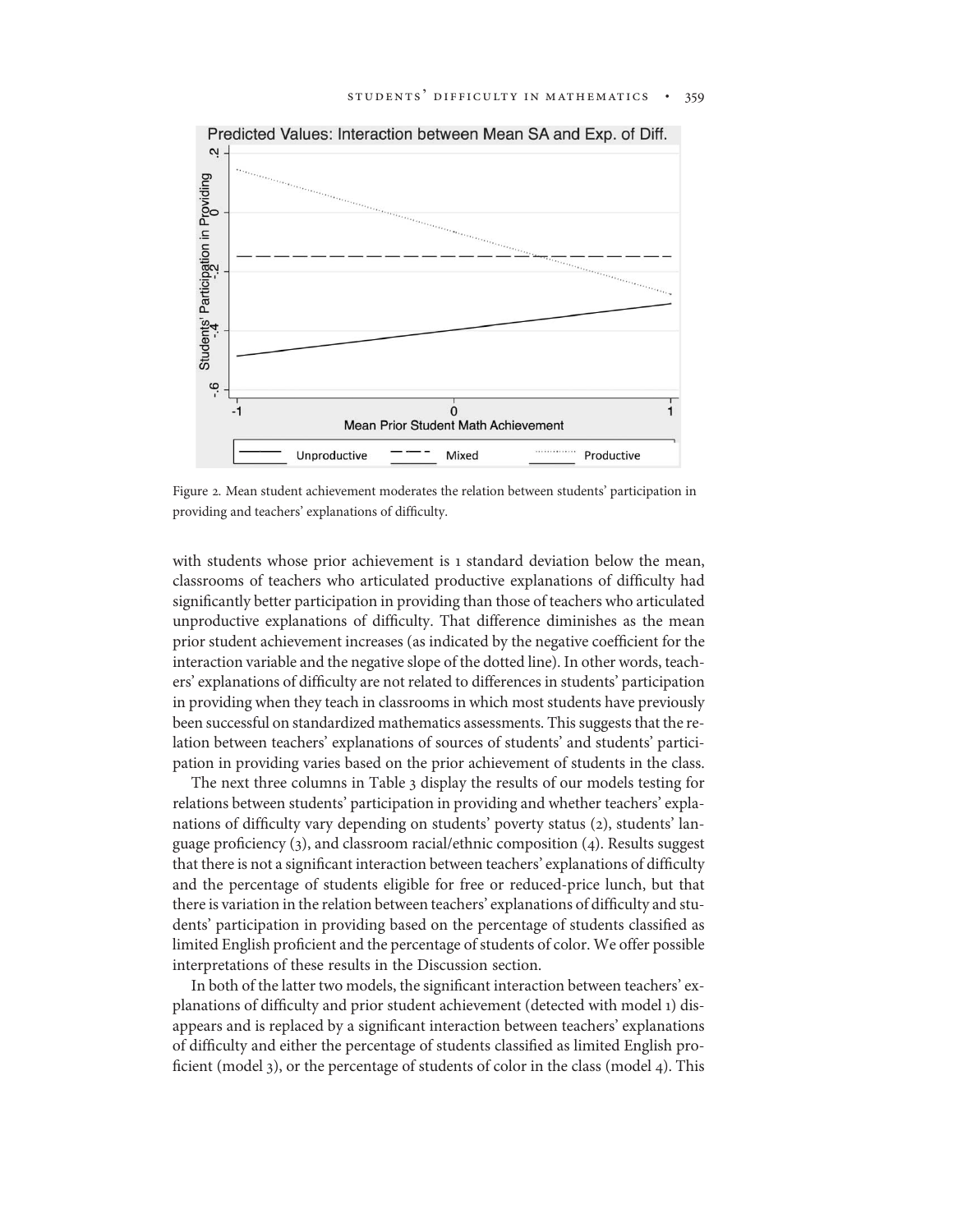

Figure 2. Mean student achievement moderates the relation between students' participation in providing and teachers' explanations of difficulty.

with students whose prior achievement is 1 standard deviation below the mean, classrooms of teachers who articulated productive explanations of difficulty had significantly better participation in providing than those of teachers who articulated unproductive explanations of difficulty. That difference diminishes as the mean prior student achievement increases (as indicated by the negative coefficient for the interaction variable and the negative slope of the dotted line). In other words, teachers' explanations of difficulty are not related to differences in students' participation in providing when they teach in classrooms in which most students have previously been successful on standardized mathematics assessments. This suggests that the relation between teachers' explanations of sources of students' and students' participation in providing varies based on the prior achievement of students in the class.

The next three columns in Table 3 display the results of our models testing for relations between students' participation in providing and whether teachers' explanations of difficulty vary depending on students' poverty status (2), students' language proficiency (3), and classroom racial/ethnic composition (4). Results suggest that there is not a significant interaction between teachers' explanations of difficulty and the percentage of students eligible for free or reduced-price lunch, but that there is variation in the relation between teachers' explanations of difficulty and students' participation in providing based on the percentage of students classified as limited English proficient and the percentage of students of color. We offer possible interpretations of these results in the Discussion section.

In both of the latter two models, the significant interaction between teachers' explanations of difficulty and prior student achievement (detected with model 1) disappears and is replaced by a significant interaction between teachers' explanations of difficulty and either the percentage of students classified as limited English proficient (model 3), or the percentage of students of color in the class (model 4). This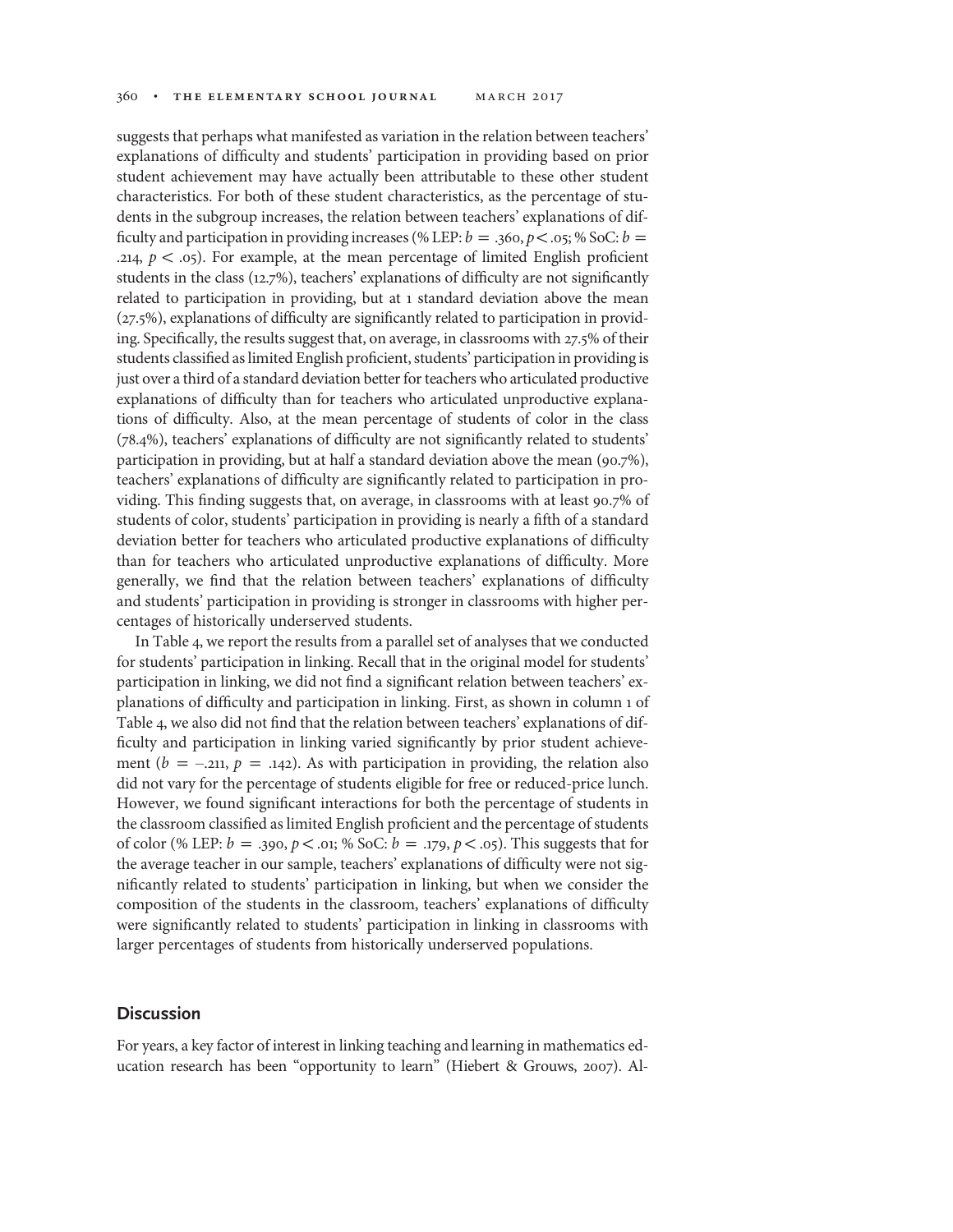suggests that perhaps what manifested as variation in the relation between teachers' explanations of difficulty and students' participation in providing based on prior student achievement may have actually been attributable to these other student characteristics. For both of these student characteristics, as the percentage of students in the subgroup increases, the relation between teachers' explanations of difficulty and participation in providing increases (% LEP:  $b = .360, p < .05$ ; % SoC:  $b =$ .214,  $p < .05$ ). For example, at the mean percentage of limited English proficient students in the class (12.7%), teachers' explanations of difficulty are not significantly related to participation in providing, but at 1 standard deviation above the mean (27.5%), explanations of difficulty are significantly related to participation in providing. Specifically, the results suggest that, on average, in classrooms with 27.5% of their students classified as limited English proficient, students' participation in providing is just over a third of a standard deviation better for teachers who articulated productive explanations of difficulty than for teachers who articulated unproductive explanations of difficulty. Also, at the mean percentage of students of color in the class (78.4%), teachers' explanations of difficulty are not significantly related to students' participation in providing, but at half a standard deviation above the mean (90.7%), teachers' explanations of difficulty are significantly related to participation in providing. This finding suggests that, on average, in classrooms with at least 90.7% of students of color, students' participation in providing is nearly a fifth of a standard deviation better for teachers who articulated productive explanations of difficulty than for teachers who articulated unproductive explanations of difficulty. More generally, we find that the relation between teachers' explanations of difficulty and students' participation in providing is stronger in classrooms with higher percentages of historically underserved students.

In Table 4, we report the results from a parallel set of analyses that we conducted for students' participation in linking. Recall that in the original model for students' participation in linking, we did not find a significant relation between teachers' explanations of difficulty and participation in linking. First, as shown in column 1 of Table 4, we also did not find that the relation between teachers' explanations of difficulty and participation in linking varied significantly by prior student achievement ( $b = -.211$ ,  $p = .142$ ). As with participation in providing, the relation also did not vary for the percentage of students eligible for free or reduced-price lunch. However, we found significant interactions for both the percentage of students in the classroom classified as limited English proficient and the percentage of students of color (% LEP:  $b = .390, p < .01;$  % SoC:  $b = .179, p < .05$ ). This suggests that for the average teacher in our sample, teachers' explanations of difficulty were not significantly related to students' participation in linking, but when we consider the composition of the students in the classroom, teachers' explanations of difficulty were significantly related to students' participation in linking in classrooms with larger percentages of students from historically underserved populations.

## **Discussion**

For years, a key factor of interest in linking teaching and learning in mathematics education research has been "opportunity to learn" (Hiebert & Grouws, 2007). Al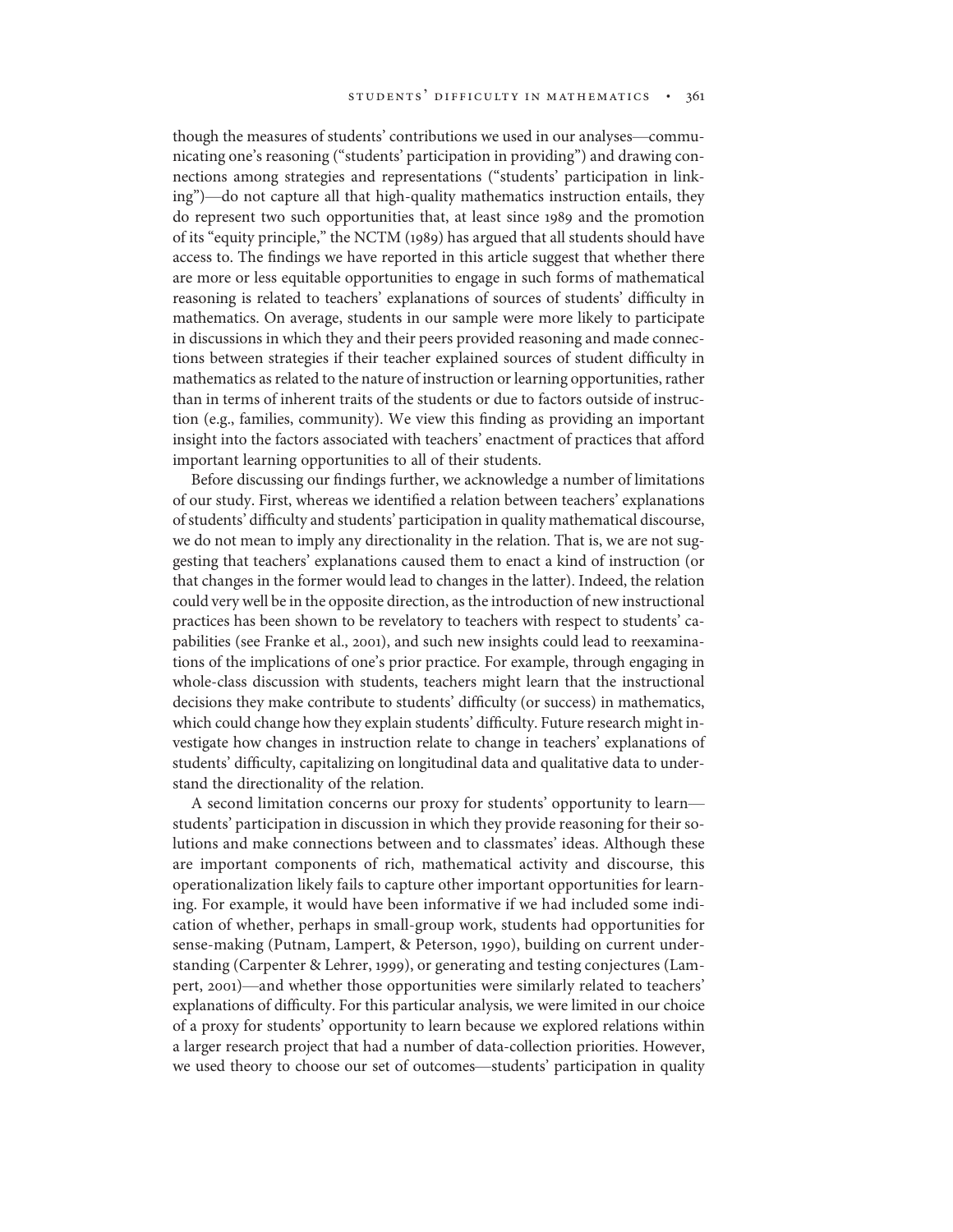though the measures of students' contributions we used in our analyses—communicating one's reasoning ("students' participation in providing") and drawing connections among strategies and representations ("students' participation in linking")—do not capture all that high-quality mathematics instruction entails, they do represent two such opportunities that, at least since 1989 and the promotion of its "equity principle," the NCTM (1989) has argued that all students should have access to. The findings we have reported in this article suggest that whether there are more or less equitable opportunities to engage in such forms of mathematical reasoning is related to teachers' explanations of sources of students' difficulty in mathematics. On average, students in our sample were more likely to participate in discussions in which they and their peers provided reasoning and made connections between strategies if their teacher explained sources of student difficulty in mathematics as related to the nature of instruction or learning opportunities, rather than in terms of inherent traits of the students or due to factors outside of instruction (e.g., families, community). We view this finding as providing an important insight into the factors associated with teachers' enactment of practices that afford important learning opportunities to all of their students.

Before discussing our findings further, we acknowledge a number of limitations of our study. First, whereas we identified a relation between teachers' explanations of students' difficulty and students' participation in quality mathematical discourse, we do not mean to imply any directionality in the relation. That is, we are not suggesting that teachers' explanations caused them to enact a kind of instruction (or that changes in the former would lead to changes in the latter). Indeed, the relation could very well be in the opposite direction, as the introduction of new instructional practices has been shown to be revelatory to teachers with respect to students' capabilities (see Franke et al., 2001), and such new insights could lead to reexaminations of the implications of one's prior practice. For example, through engaging in whole-class discussion with students, teachers might learn that the instructional decisions they make contribute to students' difficulty (or success) in mathematics, which could change how they explain students' difficulty. Future research might investigate how changes in instruction relate to change in teachers' explanations of students' difficulty, capitalizing on longitudinal data and qualitative data to understand the directionality of the relation.

A second limitation concerns our proxy for students' opportunity to learn students' participation in discussion in which they provide reasoning for their solutions and make connections between and to classmates' ideas. Although these are important components of rich, mathematical activity and discourse, this operationalization likely fails to capture other important opportunities for learning. For example, it would have been informative if we had included some indication of whether, perhaps in small-group work, students had opportunities for sense-making (Putnam, Lampert, & Peterson, 1990), building on current understanding (Carpenter & Lehrer, 1999), or generating and testing conjectures (Lampert, 2001)—and whether those opportunities were similarly related to teachers' explanations of difficulty. For this particular analysis, we were limited in our choice of a proxy for students' opportunity to learn because we explored relations within a larger research project that had a number of data-collection priorities. However, we used theory to choose our set of outcomes—students' participation in quality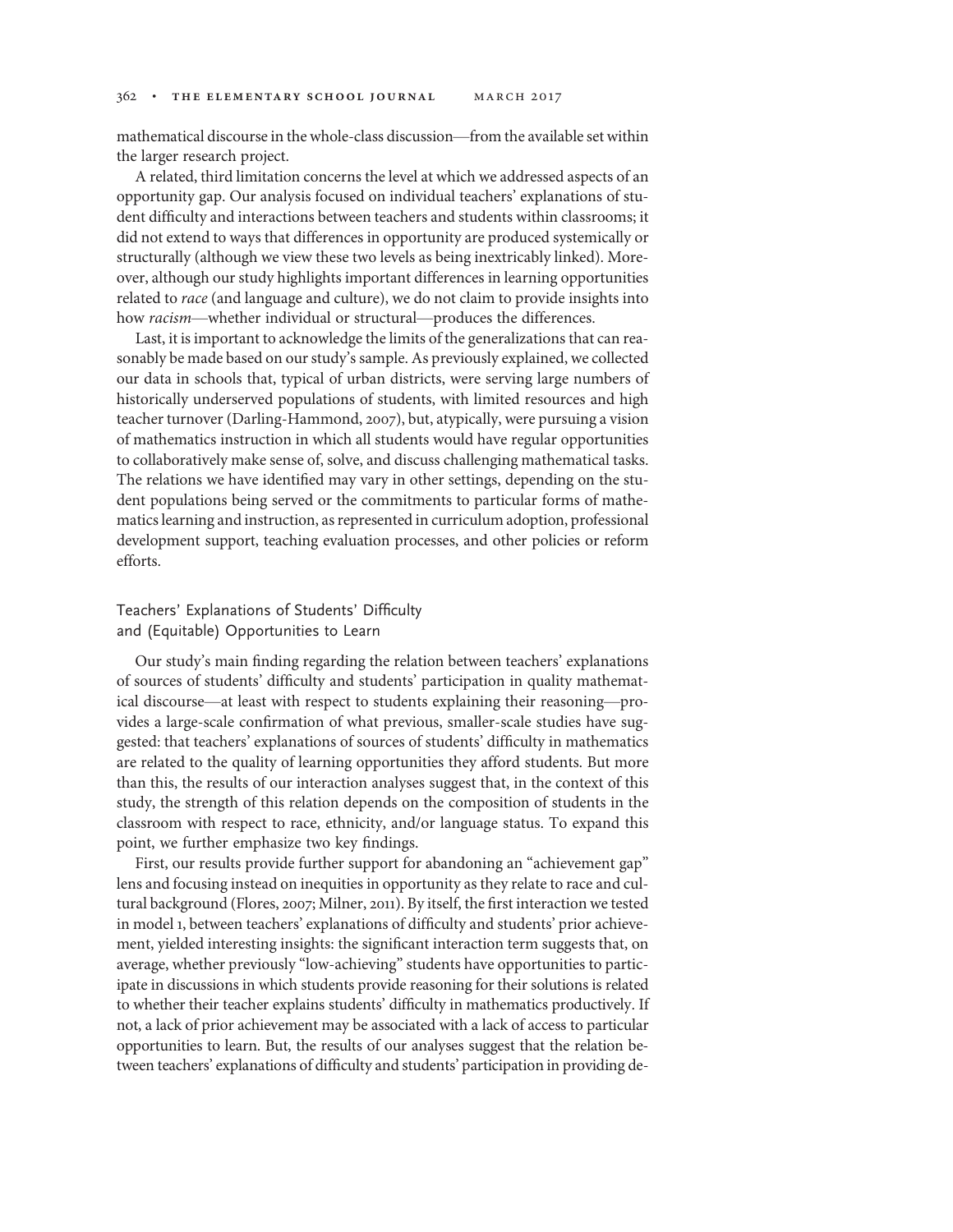mathematical discourse in the whole-class discussion—from the available set within the larger research project.

A related, third limitation concerns the level at which we addressed aspects of an opportunity gap. Our analysis focused on individual teachers' explanations of student difficulty and interactions between teachers and students within classrooms; it did not extend to ways that differences in opportunity are produced systemically or structurally (although we view these two levels as being inextricably linked). Moreover, although our study highlights important differences in learning opportunities related to race (and language and culture), we do not claim to provide insights into how racism—whether individual or structural—produces the differences.

Last, it is important to acknowledge the limits of the generalizations that can reasonably be made based on our study's sample. As previously explained, we collected our data in schools that, typical of urban districts, were serving large numbers of historically underserved populations of students, with limited resources and high teacher turnover (Darling-Hammond, 2007), but, atypically, were pursuing a vision of mathematics instruction in which all students would have regular opportunities to collaboratively make sense of, solve, and discuss challenging mathematical tasks. The relations we have identified may vary in other settings, depending on the student populations being served or the commitments to particular forms of mathematics learning and instruction, as represented in curriculum adoption, professional development support, teaching evaluation processes, and other policies or reform efforts.

## Teachers' Explanations of Students' Difficulty and (Equitable) Opportunities to Learn

Our study's main finding regarding the relation between teachers' explanations of sources of students' difficulty and students' participation in quality mathematical discourse—at least with respect to students explaining their reasoning—provides a large-scale confirmation of what previous, smaller-scale studies have suggested: that teachers' explanations of sources of students' difficulty in mathematics are related to the quality of learning opportunities they afford students. But more than this, the results of our interaction analyses suggest that, in the context of this study, the strength of this relation depends on the composition of students in the classroom with respect to race, ethnicity, and/or language status. To expand this point, we further emphasize two key findings.

First, our results provide further support for abandoning an "achievement gap" lens and focusing instead on inequities in opportunity as they relate to race and cultural background (Flores, 2007; Milner, 2011). By itself, the first interaction we tested in model 1, between teachers' explanations of difficulty and students' prior achievement, yielded interesting insights: the significant interaction term suggests that, on average, whether previously "low-achieving" students have opportunities to participate in discussions in which students provide reasoning for their solutions is related to whether their teacher explains students' difficulty in mathematics productively. If not, a lack of prior achievement may be associated with a lack of access to particular opportunities to learn. But, the results of our analyses suggest that the relation between teachers' explanations of difficulty and students' participation in providing de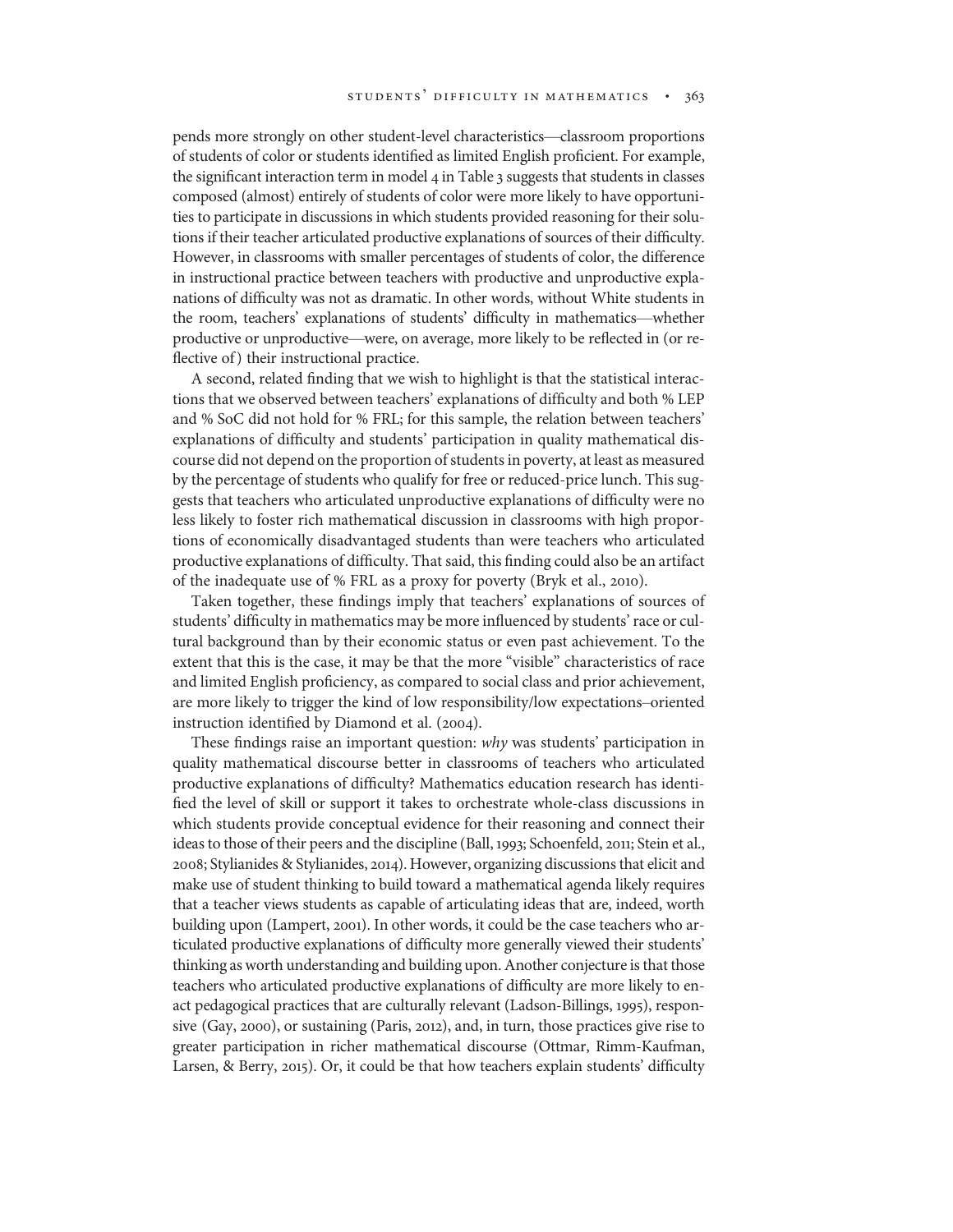pends more strongly on other student-level characteristics—classroom proportions of students of color or students identified as limited English proficient. For example, the significant interaction term in model 4 in Table 3 suggests that students in classes composed (almost) entirely of students of color were more likely to have opportunities to participate in discussions in which students provided reasoning for their solutions if their teacher articulated productive explanations of sources of their difficulty. However, in classrooms with smaller percentages of students of color, the difference in instructional practice between teachers with productive and unproductive explanations of difficulty was not as dramatic. In other words, without White students in the room, teachers' explanations of students' difficulty in mathematics—whether productive or unproductive—were, on average, more likely to be reflected in (or reflective of) their instructional practice.

A second, related finding that we wish to highlight is that the statistical interactions that we observed between teachers' explanations of difficulty and both % LEP and % SoC did not hold for % FRL; for this sample, the relation between teachers' explanations of difficulty and students' participation in quality mathematical discourse did not depend on the proportion of students in poverty, at least as measured by the percentage of students who qualify for free or reduced-price lunch. This suggests that teachers who articulated unproductive explanations of difficulty were no less likely to foster rich mathematical discussion in classrooms with high proportions of economically disadvantaged students than were teachers who articulated productive explanations of difficulty. That said, this finding could also be an artifact of the inadequate use of % FRL as a proxy for poverty (Bryk et al., 2010).

Taken together, these findings imply that teachers' explanations of sources of students' difficulty in mathematics may be more influenced by students'race or cultural background than by their economic status or even past achievement. To the extent that this is the case, it may be that the more "visible" characteristics of race and limited English proficiency, as compared to social class and prior achievement, are more likely to trigger the kind of low responsibility/low expectations–oriented instruction identified by Diamond et al. (2004).

These findings raise an important question: why was students' participation in quality mathematical discourse better in classrooms of teachers who articulated productive explanations of difficulty? Mathematics education research has identified the level of skill or support it takes to orchestrate whole-class discussions in which students provide conceptual evidence for their reasoning and connect their ideas to those of their peers and the discipline (Ball, 1993; Schoenfeld, 2011; Stein et al., 2008; Stylianides & Stylianides, 2014). However, organizing discussions that elicit and make use of student thinking to build toward a mathematical agenda likely requires that a teacher views students as capable of articulating ideas that are, indeed, worth building upon (Lampert, 2001). In other words, it could be the case teachers who articulated productive explanations of difficulty more generally viewed their students' thinking as worth understanding and building upon. Another conjecture is that those teachers who articulated productive explanations of difficulty are more likely to enact pedagogical practices that are culturally relevant (Ladson-Billings, 1995), responsive (Gay, 2000), or sustaining (Paris, 2012), and, in turn, those practices give rise to greater participation in richer mathematical discourse (Ottmar, Rimm-Kaufman, Larsen, & Berry, 2015). Or, it could be that how teachers explain students' difficulty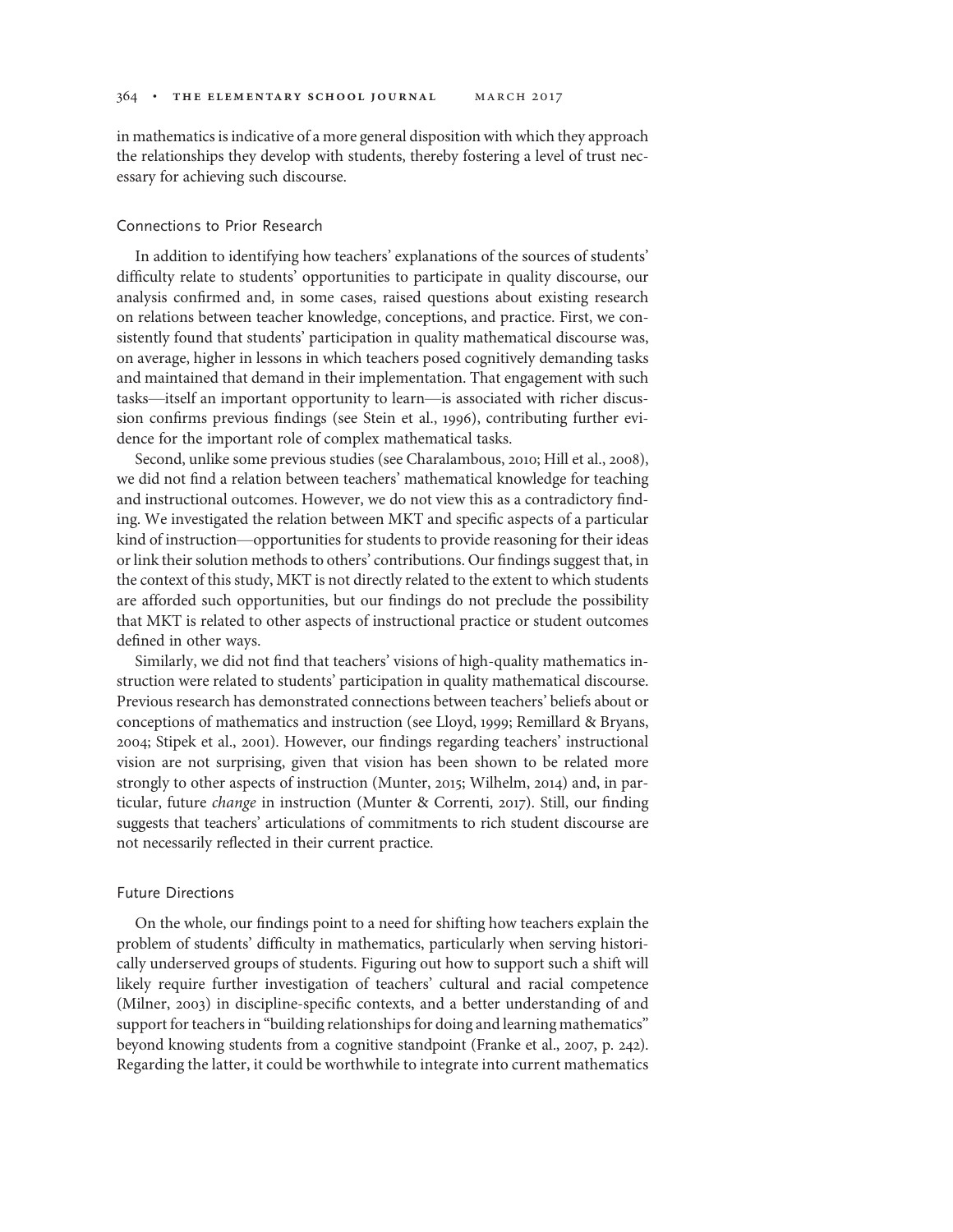in mathematics is indicative of a more general disposition with which they approach the relationships they develop with students, thereby fostering a level of trust necessary for achieving such discourse.

#### Connections to Prior Research

In addition to identifying how teachers' explanations of the sources of students' difficulty relate to students' opportunities to participate in quality discourse, our analysis confirmed and, in some cases, raised questions about existing research on relations between teacher knowledge, conceptions, and practice. First, we consistently found that students' participation in quality mathematical discourse was, on average, higher in lessons in which teachers posed cognitively demanding tasks and maintained that demand in their implementation. That engagement with such tasks—itself an important opportunity to learn—is associated with richer discussion confirms previous findings (see Stein et al., 1996), contributing further evidence for the important role of complex mathematical tasks.

Second, unlike some previous studies (see Charalambous, 2010; Hill et al., 2008), we did not find a relation between teachers' mathematical knowledge for teaching and instructional outcomes. However, we do not view this as a contradictory finding. We investigated the relation between MKT and specific aspects of a particular kind of instruction—opportunities for students to provide reasoning for their ideas or link their solution methods to others' contributions. Our findings suggest that, in the context of this study, MKT is not directly related to the extent to which students are afforded such opportunities, but our findings do not preclude the possibility that MKT is related to other aspects of instructional practice or student outcomes defined in other ways.

Similarly, we did not find that teachers' visions of high-quality mathematics instruction were related to students' participation in quality mathematical discourse. Previous research has demonstrated connections between teachers' beliefs about or conceptions of mathematics and instruction (see Lloyd, 1999; Remillard & Bryans, 2004; Stipek et al., 2001). However, our findings regarding teachers' instructional vision are not surprising, given that vision has been shown to be related more strongly to other aspects of instruction (Munter, 2015; Wilhelm, 2014) and, in particular, future change in instruction (Munter & Correnti, 2017). Still, our finding suggests that teachers' articulations of commitments to rich student discourse are not necessarily reflected in their current practice.

### Future Directions

On the whole, our findings point to a need for shifting how teachers explain the problem of students' difficulty in mathematics, particularly when serving historically underserved groups of students. Figuring out how to support such a shift will likely require further investigation of teachers' cultural and racial competence (Milner, 2003) in discipline-specific contexts, and a better understanding of and support for teachers in "building relationships for doing and learning mathematics" beyond knowing students from a cognitive standpoint (Franke et al., 2007, p. 242). Regarding the latter, it could be worthwhile to integrate into current mathematics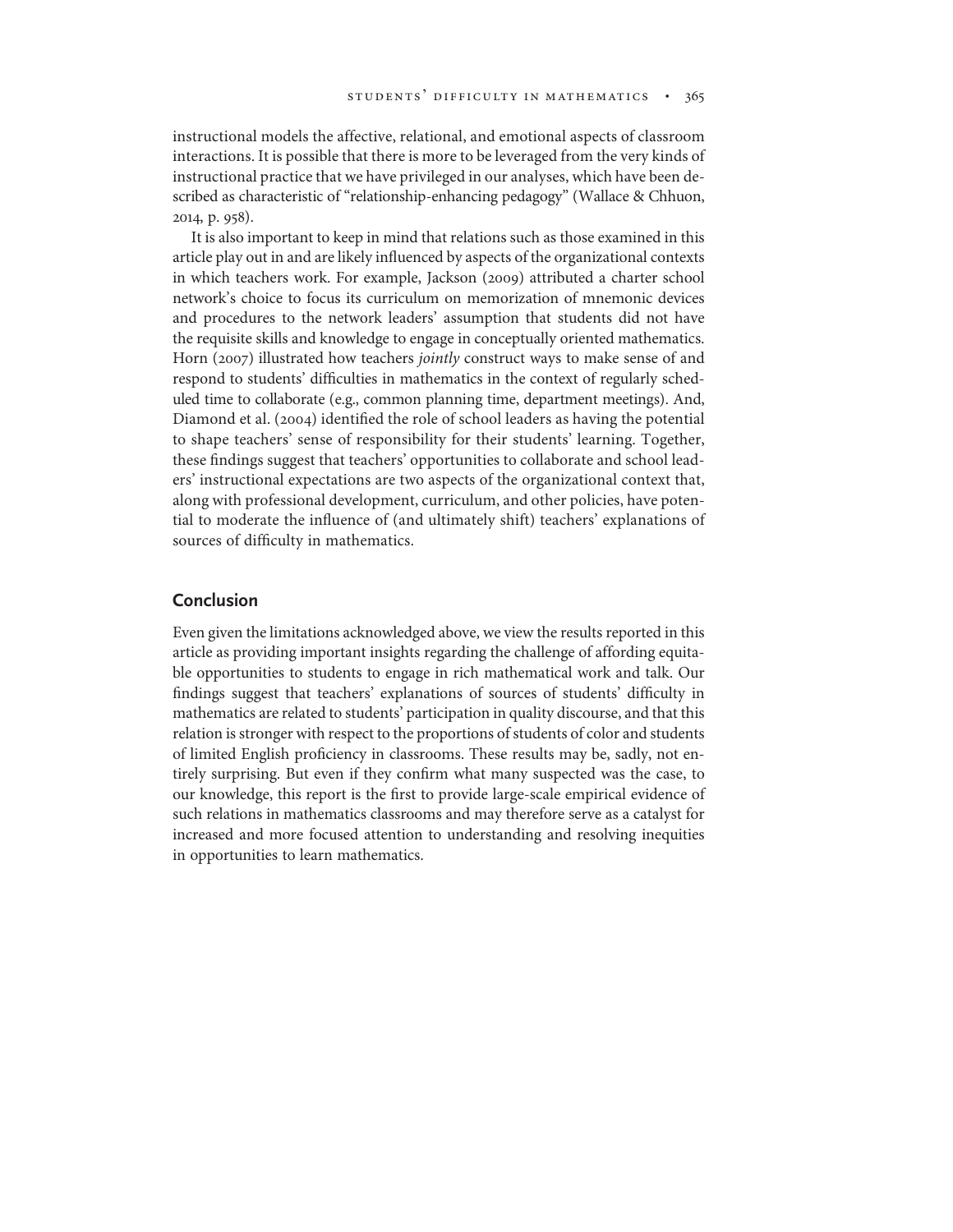instructional models the affective, relational, and emotional aspects of classroom interactions. It is possible that there is more to be leveraged from the very kinds of instructional practice that we have privileged in our analyses, which have been described as characteristic of "relationship-enhancing pedagogy" (Wallace & Chhuon, 2014, p. 958).

It is also important to keep in mind that relations such as those examined in this article play out in and are likely influenced by aspects of the organizational contexts in which teachers work. For example, Jackson (2009) attributed a charter school network's choice to focus its curriculum on memorization of mnemonic devices and procedures to the network leaders' assumption that students did not have the requisite skills and knowledge to engage in conceptually oriented mathematics. Horn (2007) illustrated how teachers jointly construct ways to make sense of and respond to students' difficulties in mathematics in the context of regularly scheduled time to collaborate (e.g., common planning time, department meetings). And, Diamond et al. (2004) identified the role of school leaders as having the potential to shape teachers' sense of responsibility for their students' learning. Together, these findings suggest that teachers' opportunities to collaborate and school leaders' instructional expectations are two aspects of the organizational context that, along with professional development, curriculum, and other policies, have potential to moderate the influence of (and ultimately shift) teachers' explanations of sources of difficulty in mathematics.

## Conclusion

Even given the limitations acknowledged above, we view the results reported in this article as providing important insights regarding the challenge of affording equitable opportunities to students to engage in rich mathematical work and talk. Our findings suggest that teachers' explanations of sources of students' difficulty in mathematics are related to students' participation in quality discourse, and that this relation is stronger with respect to the proportions of students of color and students of limited English proficiency in classrooms. These results may be, sadly, not entirely surprising. But even if they confirm what many suspected was the case, to our knowledge, this report is the first to provide large-scale empirical evidence of such relations in mathematics classrooms and may therefore serve as a catalyst for increased and more focused attention to understanding and resolving inequities in opportunities to learn mathematics.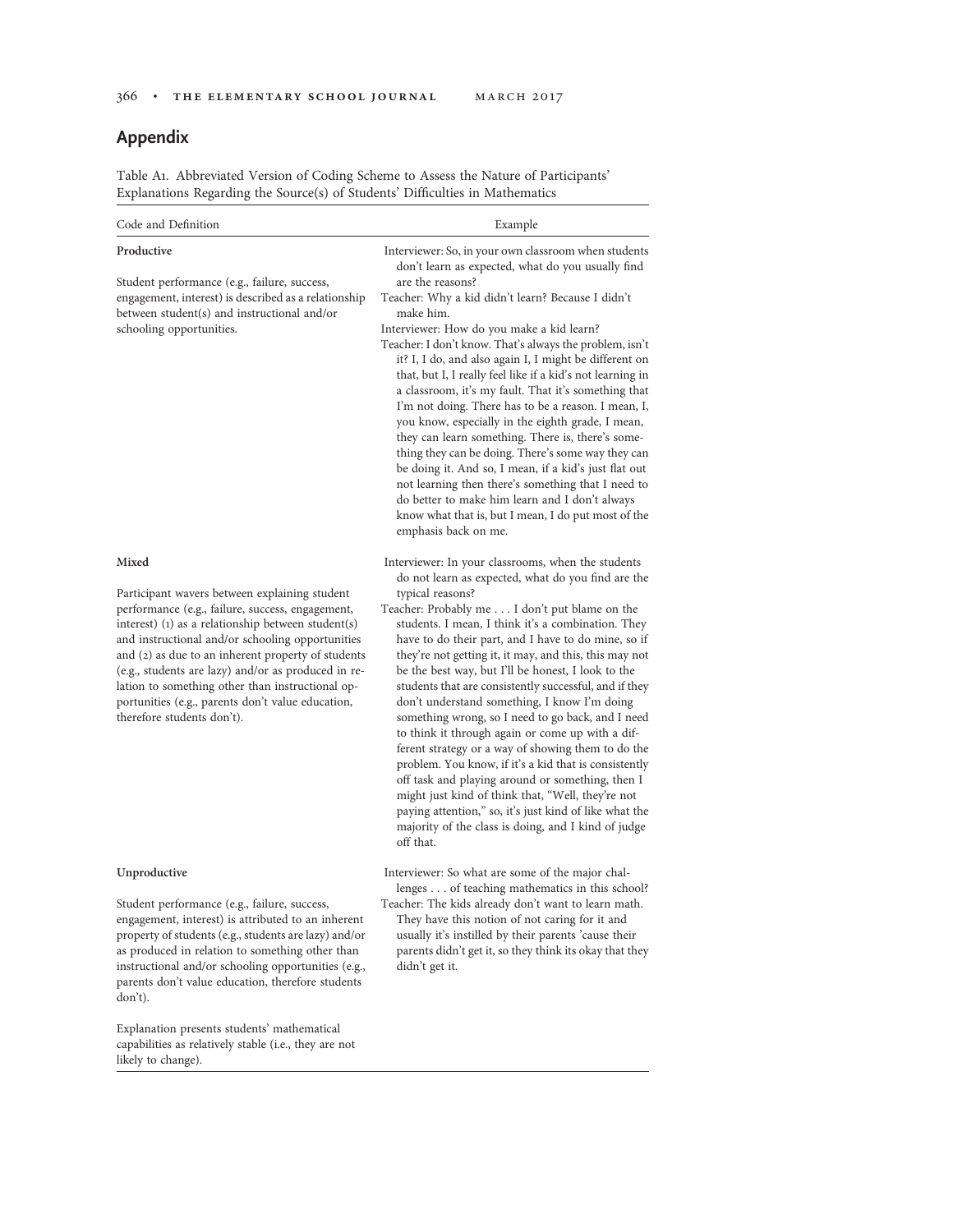## Appendix

Table A1. Abbreviated Version of Coding Scheme to Assess the Nature of Participants' Explanations Regarding the Source(s) of Students' Difficulties in Mathematics

| Code and Definition                                                                                                                                                                                                                                                                                                                                                                                                                                                                 | Example                                                                                                                                                                                                                                                                                                                                                                                                                                                                                                                                                                                                                                                                                                                                                                                                                                                                                                                                                                             |
|-------------------------------------------------------------------------------------------------------------------------------------------------------------------------------------------------------------------------------------------------------------------------------------------------------------------------------------------------------------------------------------------------------------------------------------------------------------------------------------|-------------------------------------------------------------------------------------------------------------------------------------------------------------------------------------------------------------------------------------------------------------------------------------------------------------------------------------------------------------------------------------------------------------------------------------------------------------------------------------------------------------------------------------------------------------------------------------------------------------------------------------------------------------------------------------------------------------------------------------------------------------------------------------------------------------------------------------------------------------------------------------------------------------------------------------------------------------------------------------|
| Productive<br>Student performance (e.g., failure, success,<br>engagement, interest) is described as a relationship<br>between student(s) and instructional and/or<br>schooling opportunities.                                                                                                                                                                                                                                                                                       | Interviewer: So, in your own classroom when students<br>don't learn as expected, what do you usually find<br>are the reasons?<br>Teacher: Why a kid didn't learn? Because I didn't<br>make him.<br>Interviewer: How do you make a kid learn?<br>Teacher: I don't know. That's always the problem, isn't<br>it? I, I do, and also again I, I might be different on<br>that, but I, I really feel like if a kid's not learning in<br>a classroom, it's my fault. That it's something that<br>I'm not doing. There has to be a reason. I mean, I,<br>you know, especially in the eighth grade, I mean,<br>they can learn something. There is, there's some-<br>thing they can be doing. There's some way they can<br>be doing it. And so, I mean, if a kid's just flat out<br>not learning then there's something that I need to<br>do better to make him learn and I don't always<br>know what that is, but I mean, I do put most of the<br>emphasis back on me.                      |
| Mixed<br>Participant wavers between explaining student<br>performance (e.g., failure, success, engagement,<br>interest) (1) as a relationship between student(s)<br>and instructional and/or schooling opportunities<br>and (2) as due to an inherent property of students<br>(e.g., students are lazy) and/or as produced in re-<br>lation to something other than instructional op-<br>portunities (e.g., parents don't value education,<br>therefore students don't).            | Interviewer: In your classrooms, when the students<br>do not learn as expected, what do you find are the<br>typical reasons?<br>Teacher: Probably me I don't put blame on the<br>students. I mean, I think it's a combination. They<br>have to do their part, and I have to do mine, so if<br>they're not getting it, it may, and this, this may not<br>be the best way, but I'll be honest, I look to the<br>students that are consistently successful, and if they<br>don't understand something, I know I'm doing<br>something wrong, so I need to go back, and I need<br>to think it through again or come up with a dif-<br>ferent strategy or a way of showing them to do the<br>problem. You know, if it's a kid that is consistently<br>off task and playing around or something, then I<br>might just kind of think that, "Well, they're not<br>paying attention," so, it's just kind of like what the<br>majority of the class is doing, and I kind of judge<br>off that. |
| Unproductive<br>Student performance (e.g., failure, success,<br>engagement, interest) is attributed to an inherent<br>property of students (e.g., students are lazy) and/or<br>as produced in relation to something other than<br>instructional and/or schooling opportunities (e.g.,<br>parents don't value education, therefore students<br>don't).<br>Explanation presents students' mathematical<br>capabilities as relatively stable (i.e., they are not<br>likely to change). | Interviewer: So what are some of the major chal-<br>lenges of teaching mathematics in this school?<br>Teacher: The kids already don't want to learn math.<br>They have this notion of not caring for it and<br>usually it's instilled by their parents 'cause their<br>parents didn't get it, so they think its okay that they<br>didn't get it.                                                                                                                                                                                                                                                                                                                                                                                                                                                                                                                                                                                                                                    |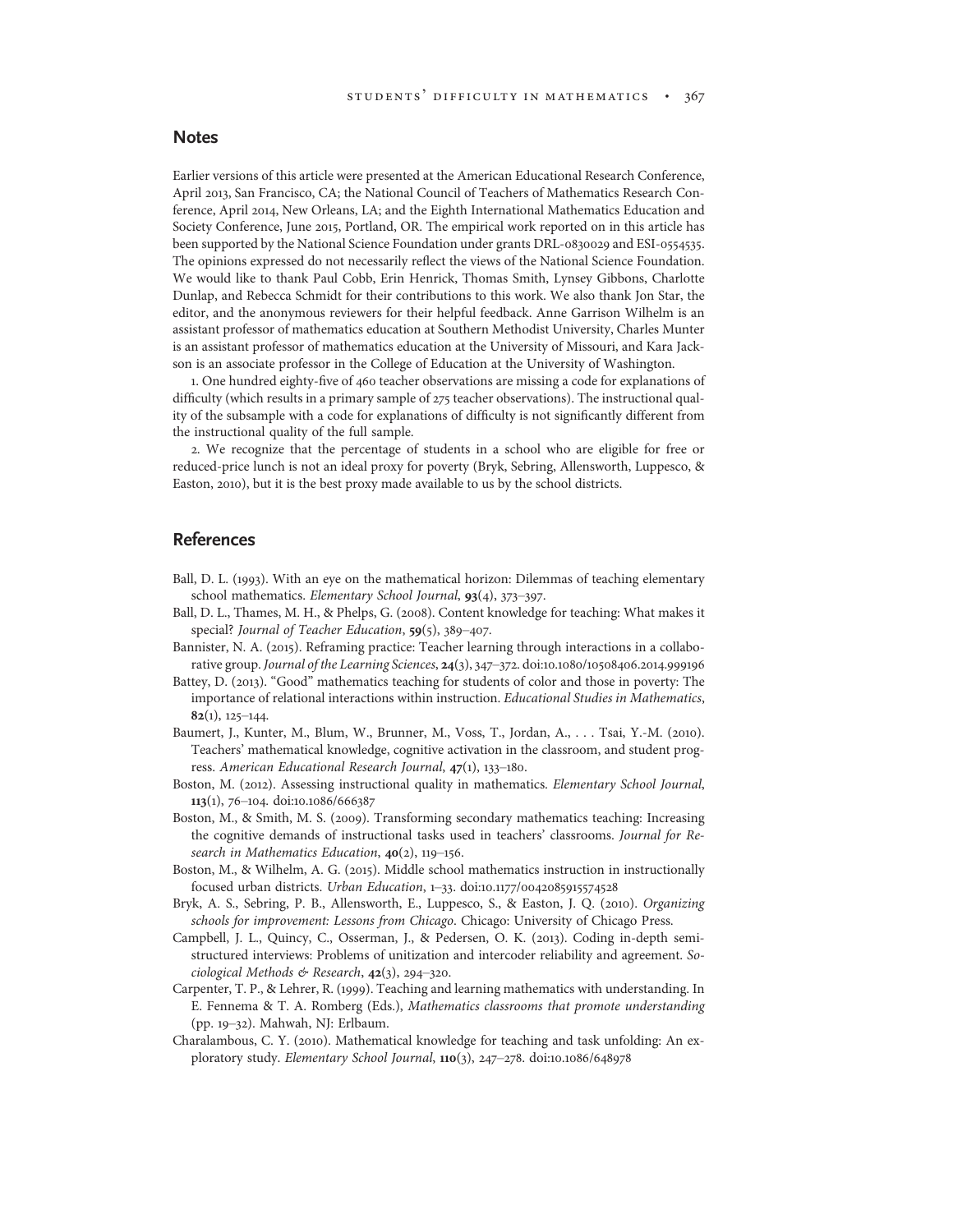## Notes

Earlier versions of this article were presented at the American Educational Research Conference, April 2013, San Francisco, CA; the National Council of Teachers of Mathematics Research Conference, April 2014, New Orleans, LA; and the Eighth International Mathematics Education and Society Conference, June 2015, Portland, OR. The empirical work reported on in this article has been supported by the National Science Foundation under grants DRL-0830029 and ESI-0554535. The opinions expressed do not necessarily reflect the views of the National Science Foundation. We would like to thank Paul Cobb, Erin Henrick, Thomas Smith, Lynsey Gibbons, Charlotte Dunlap, and Rebecca Schmidt for their contributions to this work. We also thank Jon Star, the editor, and the anonymous reviewers for their helpful feedback. Anne Garrison Wilhelm is an assistant professor of mathematics education at Southern Methodist University, Charles Munter is an assistant professor of mathematics education at the University of Missouri, and Kara Jackson is an associate professor in the College of Education at the University of Washington.

1. One hundred eighty-five of 460 teacher observations are missing a code for explanations of difficulty (which results in a primary sample of 275 teacher observations). The instructional quality of the subsample with a code for explanations of difficulty is not significantly different from the instructional quality of the full sample.

2. We recognize that the percentage of students in a school who are eligible for free or reduced-price lunch is not an ideal proxy for poverty (Bryk, Sebring, Allensworth, Luppesco, & Easton, 2010), but it is the best proxy made available to us by the school districts.

## **References**

- Ball, D. L. (1993). With an eye on the mathematical horizon: Dilemmas of teaching elementary school mathematics. Elementary School Journal,  $93(4)$ ,  $373-397$ .
- Ball, D. L., Thames, M. H., & Phelps, G. (2008). Content knowledge for teaching: What makes it special? Journal of Teacher Education, 59(5), 389–407.
- Bannister, N. A. (2015). Reframing practice: Teacher learning through interactions in a collaborative group. Journal of the Learning Sciences, 24(3),347–372. doi:10.1080/10508406.2014.999196
- Battey, D. (2013). "Good" mathematics teaching for students of color and those in poverty: The importance of relational interactions within instruction. Educational Studies in Mathematics,  $82(1), 125-144.$
- Baumert, J., Kunter, M., Blum, W., Brunner, M., Voss, T., Jordan, A., . . . Tsai, Y.-M. (2010). Teachers' mathematical knowledge, cognitive activation in the classroom, and student progress. American Educational Research Journal, 47(1), 133–180.
- Boston, M. (2012). Assessing instructional quality in mathematics. Elementary School Journal, 113(1), 76–104. doi:10.1086/666387
- Boston, M., & Smith, M. S. (2009). Transforming secondary mathematics teaching: Increasing the cognitive demands of instructional tasks used in teachers' classrooms. Journal for Research in Mathematics Education,  $40(2)$ , 119–156.
- Boston, M., & Wilhelm, A. G. (2015). Middle school mathematics instruction in instructionally focused urban districts. Urban Education, 1–33. doi:10.1177/0042085915574528
- Bryk, A. S., Sebring, P. B., Allensworth, E., Luppesco, S., & Easton, J. Q. (2010). Organizing schools for improvement: Lessons from Chicago. Chicago: University of Chicago Press.
- Campbell, J. L., Quincy, C., Osserman, J., & Pedersen, O. K. (2013). Coding in-depth semistructured interviews: Problems of unitization and intercoder reliability and agreement. Sociological Methods & Research,  $42(3)$ , 294-320.
- Carpenter, T. P., & Lehrer, R. (1999). Teaching and learning mathematics with understanding. In E. Fennema & T. A. Romberg (Eds.), Mathematics classrooms that promote understanding (pp. 19–32). Mahwah, NJ: Erlbaum.
- Charalambous, C. Y. (2010). Mathematical knowledge for teaching and task unfolding: An exploratory study. Elementary School Journal, 110(3), 247–278. doi:10.1086/648978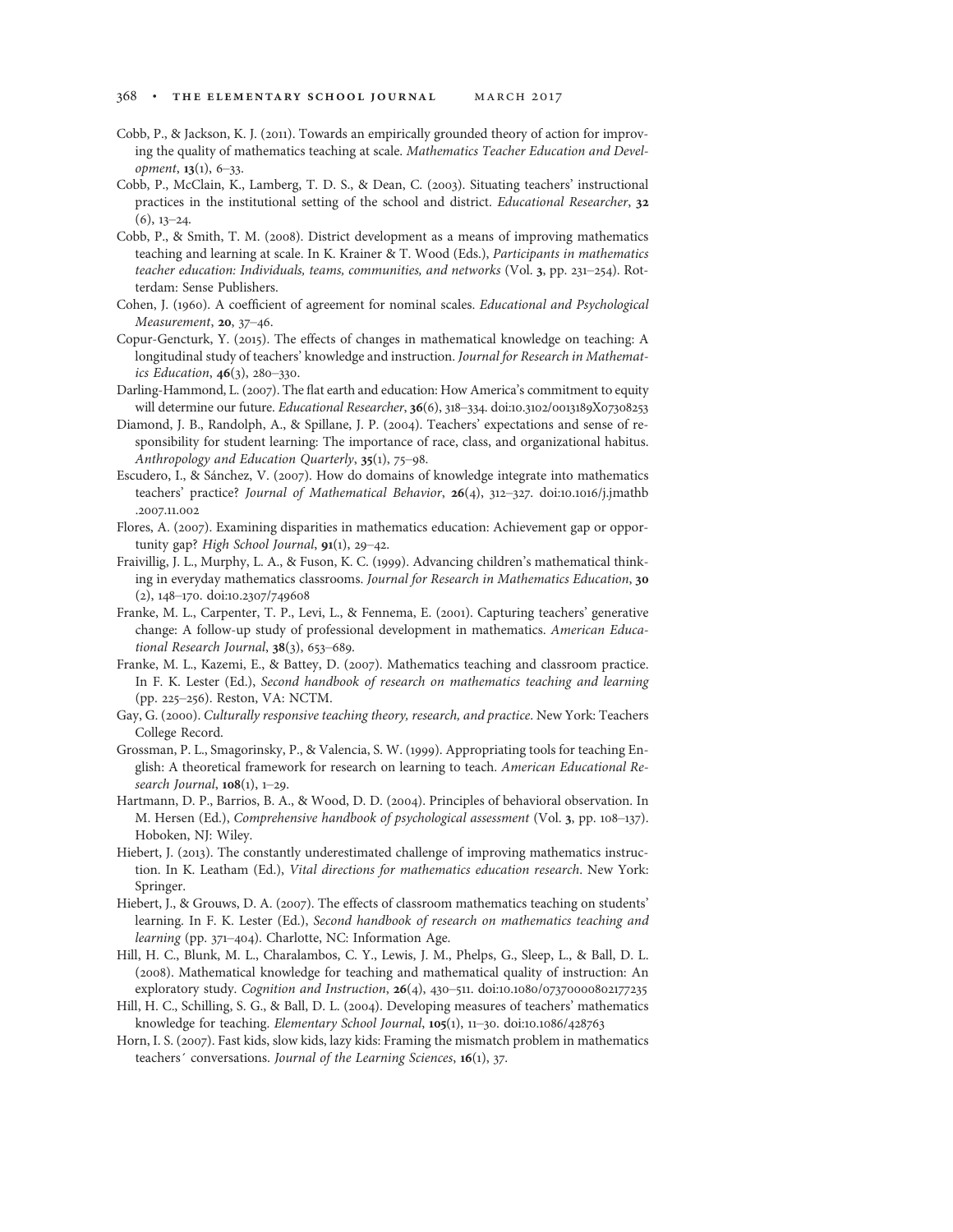- Cobb, P., & Jackson, K. J. (2011). Towards an empirically grounded theory of action for improving the quality of mathematics teaching at scale. Mathematics Teacher Education and Development, 13(1), 6–33.
- Cobb, P., McClain, K., Lamberg, T. D. S., & Dean, C. (2003). Situating teachers' instructional practices in the institutional setting of the school and district. Educational Researcher, 32  $(6)$ , 13–24.
- Cobb, P., & Smith, T. M. (2008). District development as a means of improving mathematics teaching and learning at scale. In K. Krainer & T. Wood (Eds.), Participants in mathematics teacher education: Individuals, teams, communities, and networks (Vol. 3, pp. 231–254). Rotterdam: Sense Publishers.
- Cohen, J. (1960). A coefficient of agreement for nominal scales. Educational and Psychological Measurement, 20, 37–46.
- Copur-Gencturk, Y. (2015). The effects of changes in mathematical knowledge on teaching: A longitudinal study of teachers' knowledge and instruction. Journal for Research in Mathematics Education,  $46(3)$ ,  $280-330$ .
- Darling-Hammond, L. (2007). The flat earth and education: How America's commitment to equity will determine our future. Educational Researcher, 36(6), 318–334. doi:10.3102/0013189X07308253
- Diamond, J. B., Randolph, A., & Spillane, J. P. (2004). Teachers' expectations and sense of responsibility for student learning: The importance of race, class, and organizational habitus. Anthropology and Education Quarterly, 35(1), 75–98.
- Escudero, I., & Sánchez, V. (2007). How do domains of knowledge integrate into mathematics teachers' practice? Journal of Mathematical Behavior, 26(4), 312–327. doi:10.1016/j.jmathb .2007.11.002
- Flores, A. (2007). Examining disparities in mathematics education: Achievement gap or opportunity gap? High School Journal,  $91(1)$ , 29-42.
- Fraivillig, J. L., Murphy, L. A., & Fuson, K. C. (1999). Advancing children's mathematical thinking in everyday mathematics classrooms. Journal for Research in Mathematics Education, 30 (2), 148–170. doi:10.2307/749608
- Franke, M. L., Carpenter, T. P., Levi, L., & Fennema, E. (2001). Capturing teachers' generative change: A follow-up study of professional development in mathematics. American Educational Research Journal,  $38(3)$ , 653–689.
- Franke, M. L., Kazemi, E., & Battey, D. (2007). Mathematics teaching and classroom practice. In F. K. Lester (Ed.), Second handbook of research on mathematics teaching and learning (pp. 225–256). Reston, VA: NCTM.
- Gay, G. (2000). Culturally responsive teaching theory, research, and practice. New York: Teachers College Record.
- Grossman, P. L., Smagorinsky, P., & Valencia, S. W. (1999). Appropriating tools for teaching English: A theoretical framework for research on learning to teach. American Educational Research Journal,  $108(1)$ ,  $1-29$ .
- Hartmann, D. P., Barrios, B. A., & Wood, D. D. (2004). Principles of behavioral observation. In M. Hersen (Ed.), Comprehensive handbook of psychological assessment (Vol. 3, pp. 108–137). Hoboken, NJ: Wiley.
- Hiebert, J. (2013). The constantly underestimated challenge of improving mathematics instruction. In K. Leatham (Ed.), Vital directions for mathematics education research. New York: Springer.
- Hiebert, J., & Grouws, D. A. (2007). The effects of classroom mathematics teaching on students' learning. In F. K. Lester (Ed.), Second handbook of research on mathematics teaching and learning (pp. 371–404). Charlotte, NC: Information Age.
- Hill, H. C., Blunk, M. L., Charalambos, C. Y., Lewis, J. M., Phelps, G., Sleep, L., & Ball, D. L. (2008). Mathematical knowledge for teaching and mathematical quality of instruction: An exploratory study. Cognition and Instruction, 26(4), 430–511. doi:10.1080/07370000802177235
- Hill, H. C., Schilling, S. G., & Ball, D. L. (2004). Developing measures of teachers' mathematics knowledge for teaching. Elementary School Journal, 105(1), 11-30. doi:10.1086/428763
- Horn, I. S. (2007). Fast kids, slow kids, lazy kids: Framing the mismatch problem in mathematics teachers' conversations. Journal of the Learning Sciences,  $16(1)$ ,  $37$ .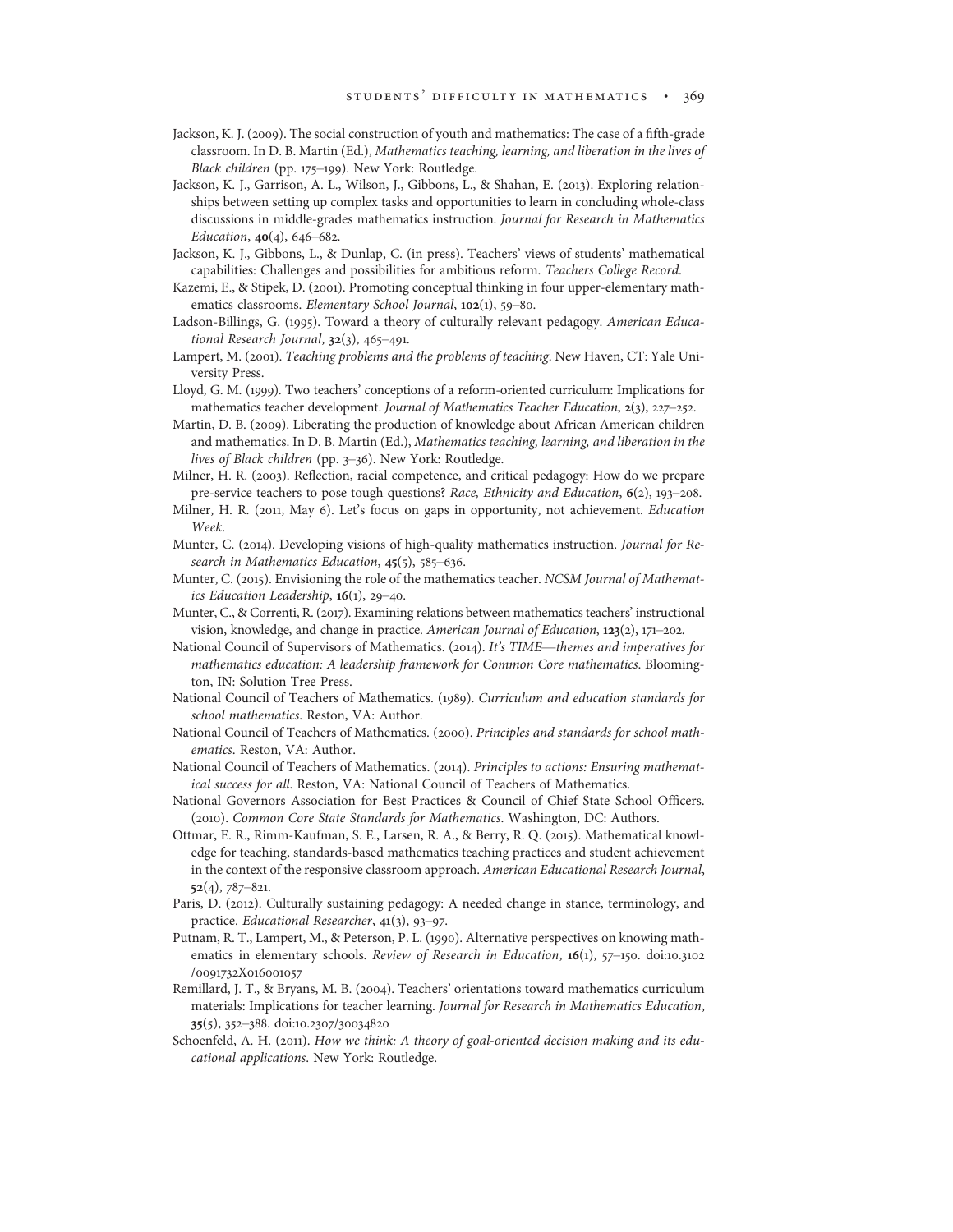- Jackson, K. J. (2009). The social construction of youth and mathematics: The case of a fifth-grade classroom. In D. B. Martin (Ed.), Mathematics teaching, learning, and liberation in the lives of Black children (pp. 175–199). New York: Routledge.
- Jackson, K. J., Garrison, A. L., Wilson, J., Gibbons, L., & Shahan, E. (2013). Exploring relationships between setting up complex tasks and opportunities to learn in concluding whole-class discussions in middle-grades mathematics instruction. Journal for Research in Mathematics Education,  $40(4)$ , 646–682.
- Jackson, K. J., Gibbons, L., & Dunlap, C. (in press). Teachers' views of students' mathematical capabilities: Challenges and possibilities for ambitious reform. Teachers College Record.
- Kazemi, E., & Stipek, D. (2001). Promoting conceptual thinking in four upper-elementary mathematics classrooms. Elementary School Journal, 102(1), 59-80.
- Ladson-Billings, G. (1995). Toward a theory of culturally relevant pedagogy. American Educational Research Journal,  $32(3)$ ,  $465-491$ .
- Lampert, M. (2001). Teaching problems and the problems of teaching. New Haven, CT: Yale University Press.
- Lloyd, G. M. (1999). Two teachers' conceptions of a reform-oriented curriculum: Implications for mathematics teacher development. Journal of Mathematics Teacher Education, 2(3), 227–252.
- Martin, D. B. (2009). Liberating the production of knowledge about African American children and mathematics. In D. B. Martin (Ed.), Mathematics teaching, learning, and liberation in the lives of Black children (pp. 3–36). New York: Routledge.
- Milner, H. R. (2003). Reflection, racial competence, and critical pedagogy: How do we prepare pre-service teachers to pose tough questions? Race, Ethnicity and Education,  $6(2)$ , 193–208.
- Milner, H. R. (2011, May 6). Let's focus on gaps in opportunity, not achievement. Education Week.
- Munter, C. (2014). Developing visions of high-quality mathematics instruction. *Journal for Re*search in Mathematics Education, 45(5), 585-636.
- Munter, C. (2015). Envisioning the role of the mathematics teacher. NCSM Journal of Mathematics Education Leadership,  $16(1)$ , 29–40.
- Munter, C., & Correnti, R. (2017). Examining relations between mathematics teachers' instructional vision, knowledge, and change in practice. American Journal of Education, 123(2), 171–202.
- National Council of Supervisors of Mathematics. (2014). It's TIME—themes and imperatives for mathematics education: A leadership framework for Common Core mathematics. Bloomington, IN: Solution Tree Press.
- National Council of Teachers of Mathematics. (1989). Curriculum and education standards for school mathematics. Reston, VA: Author.
- National Council of Teachers of Mathematics. (2000). Principles and standards for school mathematics. Reston, VA: Author.
- National Council of Teachers of Mathematics. (2014). Principles to actions: Ensuring mathematical success for all. Reston, VA: National Council of Teachers of Mathematics.
- National Governors Association for Best Practices & Council of Chief State School Officers. (2010). Common Core State Standards for Mathematics. Washington, DC: Authors.
- Ottmar, E. R., Rimm-Kaufman, S. E., Larsen, R. A., & Berry, R. Q. (2015). Mathematical knowledge for teaching, standards-based mathematics teaching practices and student achievement in the context of the responsive classroom approach. American Educational Research Journal,  $52(4)$ , 787–821.
- Paris, D. (2012). Culturally sustaining pedagogy: A needed change in stance, terminology, and practice. Educational Researcher, 41(3), 93–97.
- Putnam, R. T., Lampert, M., & Peterson, P. L. (1990). Alternative perspectives on knowing mathematics in elementary schools. Review of Research in Education, 16(1), 57-150. doi:10.3102 /0091732X016001057
- Remillard, J. T., & Bryans, M. B. (2004). Teachers' orientations toward mathematics curriculum materials: Implications for teacher learning. Journal for Research in Mathematics Education, 35(5), 352–388. doi:10.2307/30034820
- Schoenfeld, A. H. (2011). How we think: A theory of goal-oriented decision making and its educational applications. New York: Routledge.